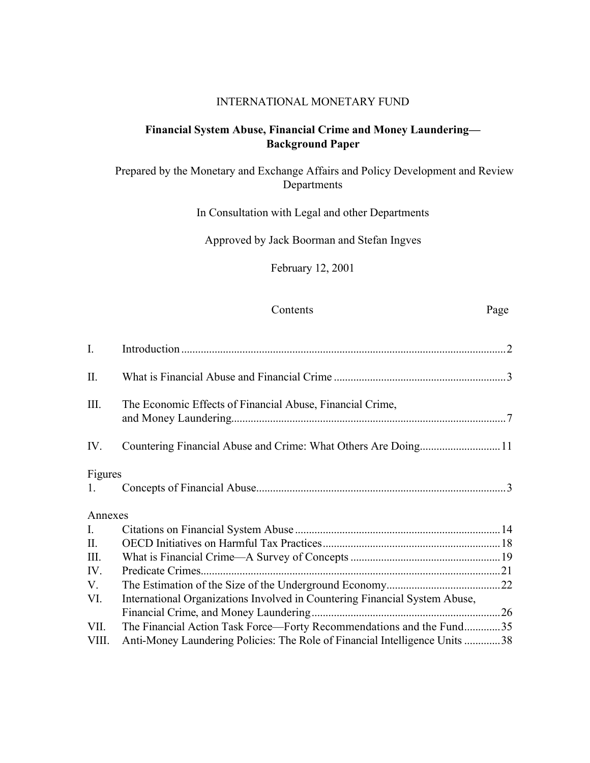# INTERNATIONAL MONETARY FUND

# **Financial System Abuse, Financial Crime and Money Laundering— Background Paper**

# Prepared by the Monetary and Exchange Affairs and Policy Development and Review Departments

In Consultation with Legal and other Departments

Approved by Jack Boorman and Stefan Ingves

February 12, 2001

# Contents Page

| $\mathbf{I}$ . |                                                                             |  |
|----------------|-----------------------------------------------------------------------------|--|
| $\prod$        |                                                                             |  |
| III.           | The Economic Effects of Financial Abuse, Financial Crime,                   |  |
| IV.            |                                                                             |  |
| Figures        |                                                                             |  |
| 1.             |                                                                             |  |
| Annexes        |                                                                             |  |
| $\mathbf{I}$ . |                                                                             |  |
| II.            |                                                                             |  |
| III.           |                                                                             |  |
| IV.            |                                                                             |  |
| V.             |                                                                             |  |
| VI.            | International Organizations Involved in Countering Financial System Abuse,  |  |
|                |                                                                             |  |
| VII.           | The Financial Action Task Force—Forty Recommendations and the Fund35        |  |
| VIII.          | Anti-Money Laundering Policies: The Role of Financial Intelligence Units 38 |  |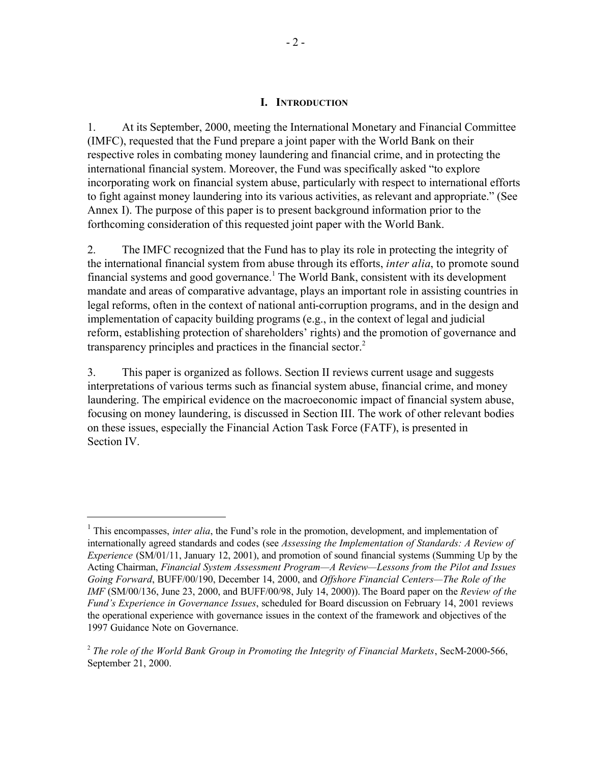#### **I. INTRODUCTION**

1. At its September, 2000, meeting the International Monetary and Financial Committee (IMFC), requested that the Fund prepare a joint paper with the World Bank on their respective roles in combating money laundering and financial crime, and in protecting the international financial system. Moreover, the Fund was specifically asked "to explore incorporating work on financial system abuse, particularly with respect to international efforts to fight against money laundering into its various activities, as relevant and appropriate." (See Annex I). The purpose of this paper is to present background information prior to the forthcoming consideration of this requested joint paper with the World Bank.

2. The IMFC recognized that the Fund has to play its role in protecting the integrity of the international financial system from abuse through its efforts, *inter alia*, to promote sound financial systems and good governance.<sup>1</sup> The World Bank, consistent with its development mandate and areas of comparative advantage, plays an important role in assisting countries in legal reforms, often in the context of national anti-corruption programs, and in the design and implementation of capacity building programs (e.g., in the context of legal and judicial reform, establishing protection of shareholders' rights) and the promotion of governance and transparency principles and practices in the financial sector.<sup>2</sup>

3. This paper is organized as follows. Section II reviews current usage and suggests interpretations of various terms such as financial system abuse, financial crime, and money laundering. The empirical evidence on the macroeconomic impact of financial system abuse, focusing on money laundering, is discussed in Section III. The work of other relevant bodies on these issues, especially the Financial Action Task Force (FATF), is presented in Section IV.

<sup>&</sup>lt;sup>1</sup> This encompasses, *inter alia*, the Fund's role in the promotion, development, and implementation of internationally agreed standards and codes (see *Assessing the Implementation of Standards: A Review of Experience* (SM/01/11, January 12, 2001), and promotion of sound financial systems (Summing Up by the Acting Chairman, *Financial System Assessment Program—A Review—Lessons from the Pilot and Issues Going Forward*, BUFF/00/190, December 14, 2000, and *Offshore Financial Centers—The Role of the IMF* (SM/00/136, June 23, 2000, and BUFF/00/98, July 14, 2000)). The Board paper on the *Review of the Fund's Experience in Governance Issues*, scheduled for Board discussion on February 14, 2001 reviews the operational experience with governance issues in the context of the framework and objectives of the 1997 Guidance Note on Governance.

<sup>2</sup> *The role of the World Bank Group in Promoting the Integrity of Financial Markets*, SecM-2000-566, September 21, 2000.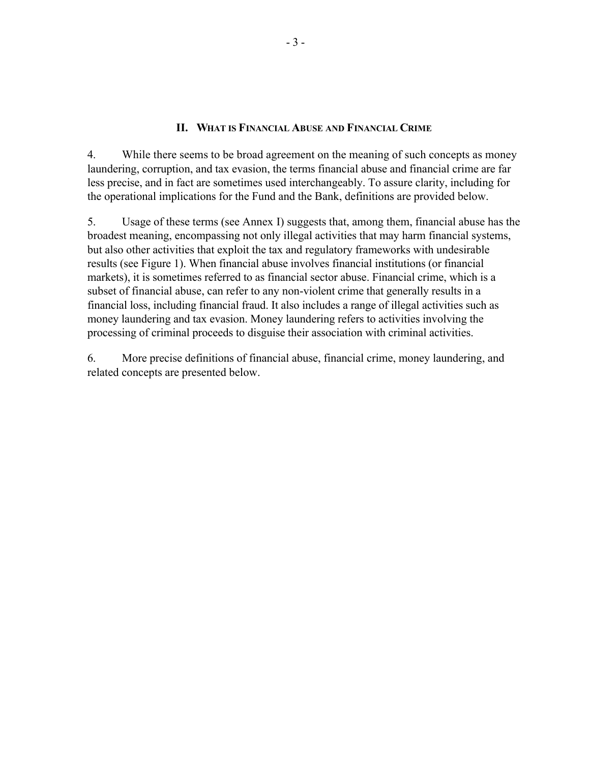### **II. WHAT IS FINANCIAL ABUSE AND FINANCIAL CRIME**

4. While there seems to be broad agreement on the meaning of such concepts as money laundering, corruption, and tax evasion, the terms financial abuse and financial crime are far less precise, and in fact are sometimes used interchangeably. To assure clarity, including for the operational implications for the Fund and the Bank, definitions are provided below.

5. Usage of these terms (see Annex I) suggests that, among them, financial abuse has the broadest meaning, encompassing not only illegal activities that may harm financial systems, but also other activities that exploit the tax and regulatory frameworks with undesirable results (see Figure 1). When financial abuse involves financial institutions (or financial markets), it is sometimes referred to as financial sector abuse. Financial crime, which is a subset of financial abuse, can refer to any non-violent crime that generally results in a financial loss, including financial fraud. It also includes a range of illegal activities such as money laundering and tax evasion. Money laundering refers to activities involving the processing of criminal proceeds to disguise their association with criminal activities.

6. More precise definitions of financial abuse, financial crime, money laundering, and related concepts are presented below.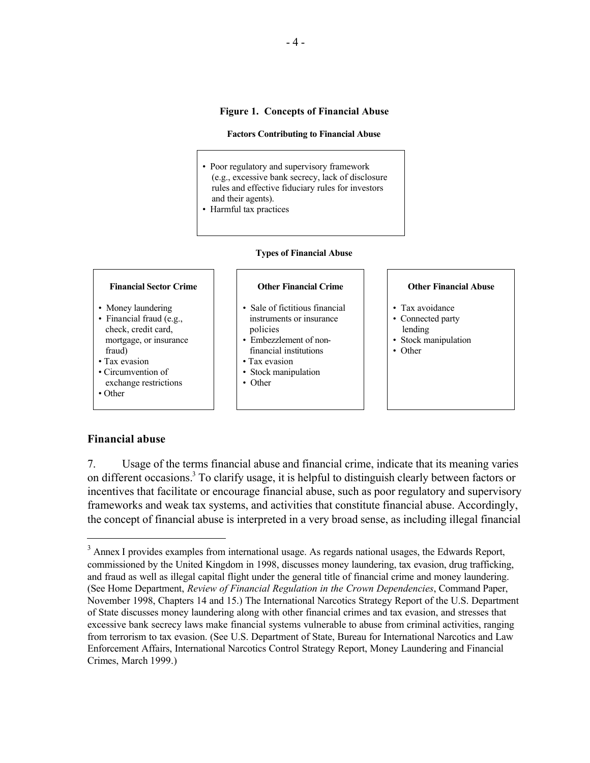### **Figure 1. Concepts of Financial Abuse**

#### **Factors Contributing to Financial Abuse**

- Poor regulatory and supervisory framework (e.g., excessive bank secrecy, lack of disclosure rules and effective fiduciary rules for investors and their agents).
- Harmful tax practices

#### **Types of Financial Abuse**

- Money laundering
- Financial fraud (e.g., check, credit card, mortgage, or insurance fraud)
- Tax evasion
- Circumvention of
- exchange restrictions
- Other

 $\overline{a}$ 

#### **Financial Sector Crime Other Financial Crime Other Financial Abuse**

- Sale of fictitious financial instruments or insurance policies
- Embezzlement of non financial institutions
- Tax evasion
- Stock manipulation
- Other

- Tax avoidance
- Connected party lending
- Stock manipulation
- Other

#### **Financial abuse**

7. Usage of the terms financial abuse and financial crime, indicate that its meaning varies on different occasions.<sup>3</sup> To clarify usage, it is helpful to distinguish clearly between factors or incentives that facilitate or encourage financial abuse, such as poor regulatory and supervisory frameworks and weak tax systems, and activities that constitute financial abuse. Accordingly, the concept of financial abuse is interpreted in a very broad sense, as including illegal financial

<sup>&</sup>lt;sup>3</sup> Annex I provides examples from international usage. As regards national usages, the Edwards Report, commissioned by the United Kingdom in 1998, discusses money laundering, tax evasion, drug trafficking, and fraud as well as illegal capital flight under the general title of financial crime and money laundering. (See Home Department, *Review of Financial Regulation in the Crown Dependencies*, Command Paper, November 1998, Chapters 14 and 15.) The International Narcotics Strategy Report of the U.S. Department of State discusses money laundering along with other financial crimes and tax evasion, and stresses that excessive bank secrecy laws make financial systems vulnerable to abuse from criminal activities, ranging from terrorism to tax evasion. (See U.S. Department of State, Bureau for International Narcotics and Law Enforcement Affairs, International Narcotics Control Strategy Report, Money Laundering and Financial Crimes, March 1999.)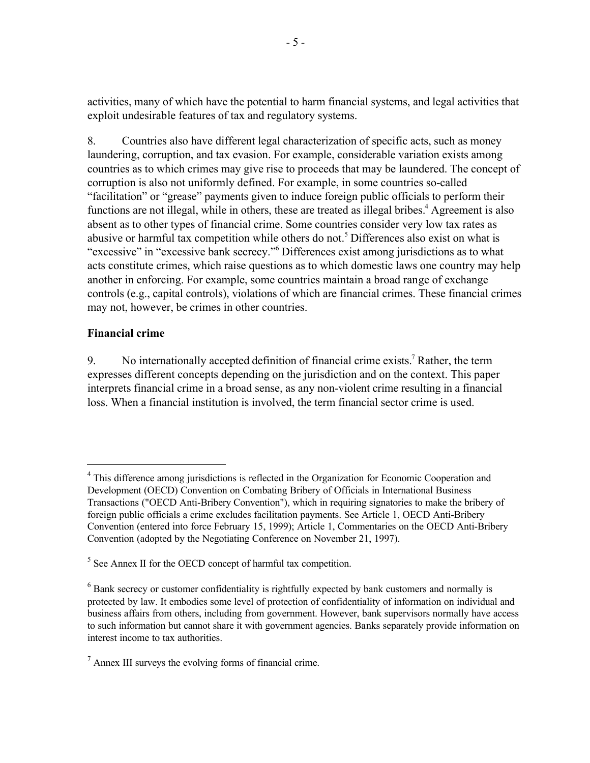activities, many of which have the potential to harm financial systems, and legal activities that exploit undesirable features of tax and regulatory systems.

8. Countries also have different legal characterization of specific acts, such as money laundering, corruption, and tax evasion. For example, considerable variation exists among countries as to which crimes may give rise to proceeds that may be laundered. The concept of corruption is also not uniformly defined. For example, in some countries so-called "facilitation" or "grease" payments given to induce foreign public officials to perform their functions are not illegal, while in others, these are treated as illegal bribes.<sup>4</sup> Agreement is also absent as to other types of financial crime. Some countries consider very low tax rates as abusive or harmful tax competition while others do not.<sup>5</sup> Differences also exist on what is "excessive" in "excessive bank secrecy."<sup>6</sup> Differences exist among jurisdictions as to what acts constitute crimes, which raise questions as to which domestic laws one country may help another in enforcing. For example, some countries maintain a broad range of exchange controls (e.g., capital controls), violations of which are financial crimes. These financial crimes may not, however, be crimes in other countries.

# **Financial crime**

 $\overline{a}$ 

9. No internationally accepted definition of financial crime exists.<sup>7</sup> Rather, the term expresses different concepts depending on the jurisdiction and on the context. This paper interprets financial crime in a broad sense, as any non-violent crime resulting in a financial loss. When a financial institution is involved, the term financial sector crime is used.

<sup>&</sup>lt;sup>4</sup> This difference among jurisdictions is reflected in the Organization for Economic Cooperation and Development (OECD) Convention on Combating Bribery of Officials in International Business Transactions ("OECD Anti-Bribery Convention"), which in requiring signatories to make the bribery of foreign public officials a crime excludes facilitation payments. See Article 1, OECD Anti-Bribery Convention (entered into force February 15, 1999); Article 1, Commentaries on the OECD Anti-Bribery Convention (adopted by the Negotiating Conference on November 21, 1997).

<sup>&</sup>lt;sup>5</sup> See Annex II for the OECD concept of harmful tax competition.

 $6$  Bank secrecy or customer confidentiality is rightfully expected by bank customers and normally is protected by law. It embodies some level of protection of confidentiality of information on individual and business affairs from others, including from government. However, bank supervisors normally have access to such information but cannot share it with government agencies. Banks separately provide information on interest income to tax authorities.

 $<sup>7</sup>$  Annex III surveys the evolving forms of financial crime.</sup>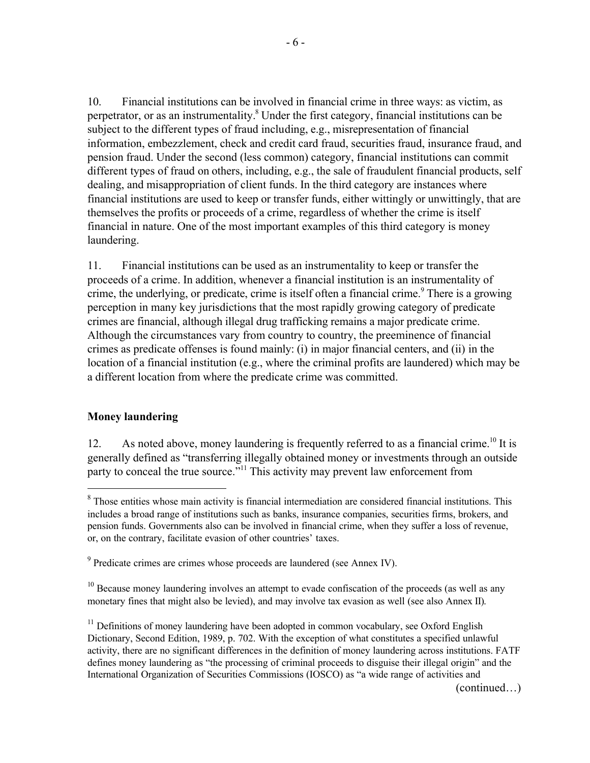10. Financial institutions can be involved in financial crime in three ways: as victim, as perpetrator, or as an instrumentality.<sup>8</sup> Under the first category, financial institutions can be subject to the different types of fraud including, e.g., misrepresentation of financial information, embezzlement, check and credit card fraud, securities fraud, insurance fraud, and pension fraud. Under the second (less common) category, financial institutions can commit different types of fraud on others, including, e.g., the sale of fraudulent financial products, self dealing, and misappropriation of client funds. In the third category are instances where financial institutions are used to keep or transfer funds, either wittingly or unwittingly, that are themselves the profits or proceeds of a crime, regardless of whether the crime is itself financial in nature. One of the most important examples of this third category is money laundering.

11. Financial institutions can be used as an instrumentality to keep or transfer the proceeds of a crime. In addition, whenever a financial institution is an instrumentality of crime, the underlying, or predicate, crime is itself often a financial crime.<sup>9</sup> There is a growing perception in many key jurisdictions that the most rapidly growing category of predicate crimes are financial, although illegal drug trafficking remains a major predicate crime. Although the circumstances vary from country to country, the preeminence of financial crimes as predicate offenses is found mainly: (i) in major financial centers, and (ii) in the location of a financial institution (e.g., where the criminal profits are laundered) which may be a different location from where the predicate crime was committed.

# **Money laundering**

 $\overline{a}$ 

12. As noted above, money laundering is frequently referred to as a financial crime.<sup>10</sup> It is generally defined as "transferring illegally obtained money or investments through an outside party to conceal the true source."<sup>11</sup> This activity may prevent law enforcement from

(continued…)

<sup>&</sup>lt;sup>8</sup> Those entities whose main activity is financial intermediation are considered financial institutions. This includes a broad range of institutions such as banks, insurance companies, securities firms, brokers, and pension funds. Governments also can be involved in financial crime, when they suffer a loss of revenue, or, on the contrary, facilitate evasion of other countries' taxes.

<sup>&</sup>lt;sup>9</sup> Predicate crimes are crimes whose proceeds are laundered (see Annex IV).

 $10$  Because money laundering involves an attempt to evade confiscation of the proceeds (as well as any monetary fines that might also be levied), and may involve tax evasion as well (see also Annex II).

 $11$  Definitions of money laundering have been adopted in common vocabulary, see Oxford English Dictionary, Second Edition, 1989, p. 702. With the exception of what constitutes a specified unlawful activity, there are no significant differences in the definition of money laundering across institutions. FATF defines money laundering as "the processing of criminal proceeds to disguise their illegal origin" and the International Organization of Securities Commissions (IOSCO) as "a wide range of activities and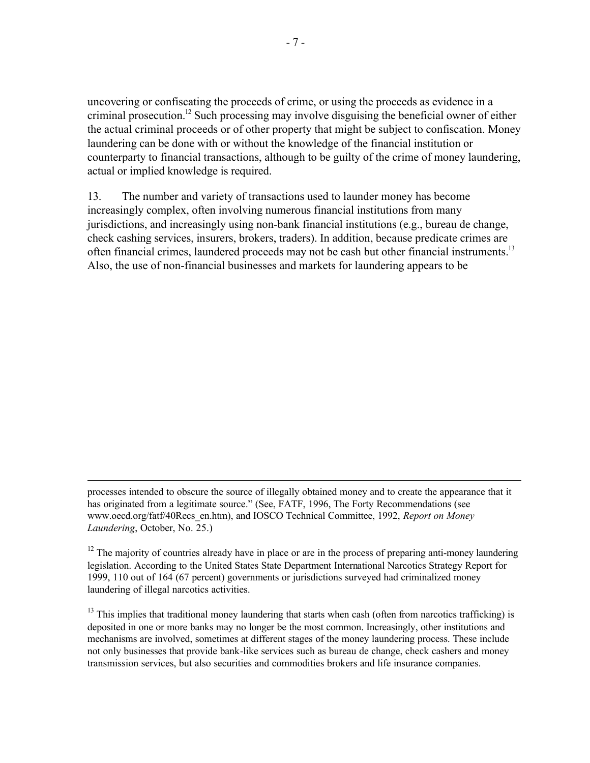uncovering or confiscating the proceeds of crime, or using the proceeds as evidence in a criminal prosecution.<sup>12</sup> Such processing may involve disguising the beneficial owner of either the actual criminal proceeds or of other property that might be subject to confiscation. Money laundering can be done with or without the knowledge of the financial institution or counterparty to financial transactions, although to be guilty of the crime of money laundering, actual or implied knowledge is required.

13. The number and variety of transactions used to launder money has become increasingly complex, often involving numerous financial institutions from many jurisdictions, and increasingly using non-bank financial institutions (e.g., bureau de change, check cashing services, insurers, brokers, traders). In addition, because predicate crimes are often financial crimes, laundered proceeds may not be cash but other financial instruments.<sup>13</sup> Also, the use of non-financial businesses and markets for laundering appears to be

<sup>1</sup> processes intended to obscure the source of illegally obtained money and to create the appearance that it has originated from a legitimate source." (See, FATF, 1996, The Forty Recommendations (see www.oecd.org/fatf/40Recs\_en.htm), and IOSCO Technical Committee, 1992, *Report on Money Laundering*, October, No. 25.)

 $12$  The majority of countries already have in place or are in the process of preparing anti-money laundering legislation. According to the United States State Department International Narcotics Strategy Report for 1999, 110 out of 164 (67 percent) governments or jurisdictions surveyed had criminalized money laundering of illegal narcotics activities.

<sup>&</sup>lt;sup>13</sup> This implies that traditional money laundering that starts when cash (often from narcotics trafficking) is deposited in one or more banks may no longer be the most common. Increasingly, other institutions and mechanisms are involved, sometimes at different stages of the money laundering process. These include not only businesses that provide bank-like services such as bureau de change, check cashers and money transmission services, but also securities and commodities brokers and life insurance companies.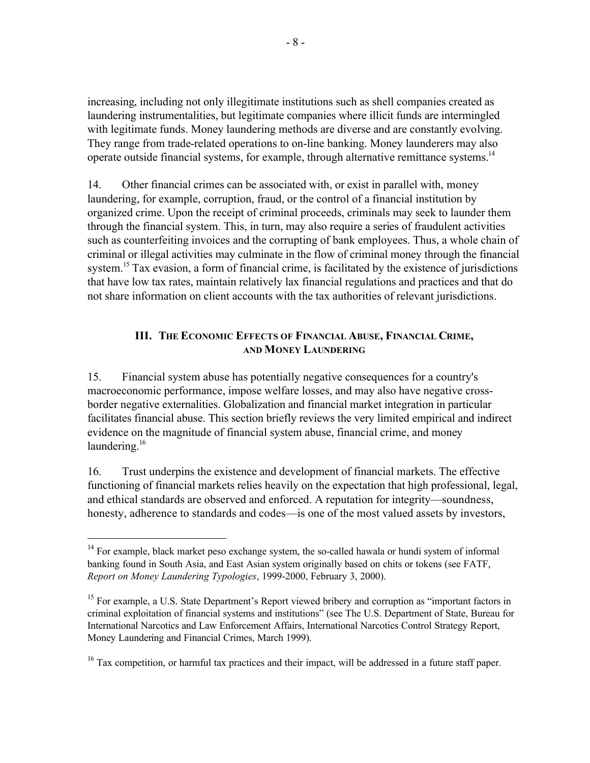increasing, including not only illegitimate institutions such as shell companies created as laundering instrumentalities, but legitimate companies where illicit funds are intermingled with legitimate funds. Money laundering methods are diverse and are constantly evolving. They range from trade-related operations to on-line banking. Money launderers may also operate outside financial systems, for example, through alternative remittance systems.<sup>14</sup>

14. Other financial crimes can be associated with, or exist in parallel with, money laundering, for example, corruption, fraud, or the control of a financial institution by organized crime. Upon the receipt of criminal proceeds, criminals may seek to launder them through the financial system. This, in turn, may also require a series of fraudulent activities such as counterfeiting invoices and the corrupting of bank employees. Thus, a whole chain of criminal or illegal activities may culminate in the flow of criminal money through the financial system.<sup>15</sup> Tax evasion, a form of financial crime, is facilitated by the existence of jurisdictions that have low tax rates, maintain relatively lax financial regulations and practices and that do not share information on client accounts with the tax authorities of relevant jurisdictions.

# **III. THE ECONOMIC EFFECTS OF FINANCIAL ABUSE, FINANCIAL CRIME, AND MONEY LAUNDERING**

15. Financial system abuse has potentially negative consequences for a country's macroeconomic performance, impose welfare losses, and may also have negative crossborder negative externalities. Globalization and financial market integration in particular facilitates financial abuse. This section briefly reviews the very limited empirical and indirect evidence on the magnitude of financial system abuse, financial crime, and money laundering. $16$ 

16. Trust underpins the existence and development of financial markets. The effective functioning of financial markets relies heavily on the expectation that high professional, legal, and ethical standards are observed and enforced. A reputation for integrity—soundness, honesty, adherence to standards and codes—is one of the most valued assets by investors,

 $14$  For example, black market peso exchange system, the so-called hawala or hundi system of informal banking found in South Asia, and East Asian system originally based on chits or tokens (see FATF, *Report on Money Laundering Typologies*, 1999-2000, February 3, 2000).

<sup>&</sup>lt;sup>15</sup> For example, a U.S. State Department's Report viewed bribery and corruption as "important factors in criminal exploitation of financial systems and institutions" (see The U.S. Department of State, Bureau for International Narcotics and Law Enforcement Affairs, International Narcotics Control Strategy Report, Money Laundering and Financial Crimes, March 1999).

<sup>&</sup>lt;sup>16</sup> Tax competition, or harmful tax practices and their impact, will be addressed in a future staff paper.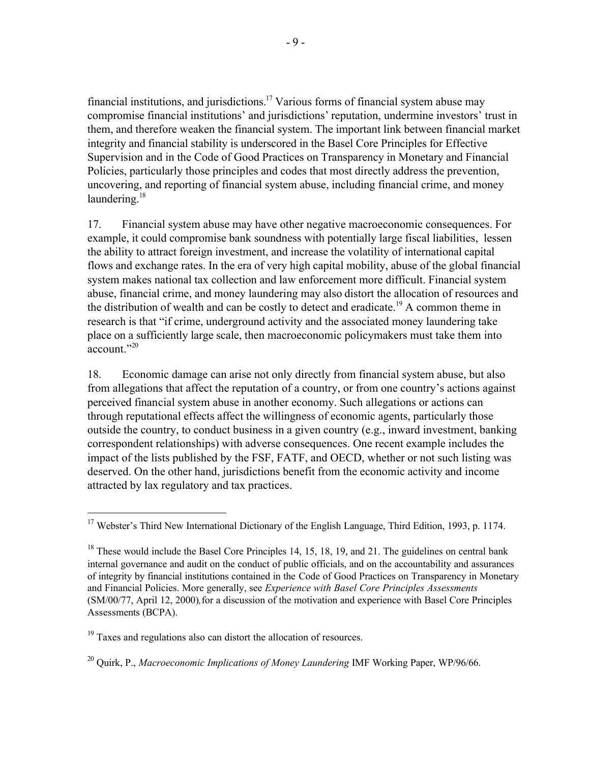financial institutions, and jurisdictions.<sup>17</sup> Various forms of financial system abuse may compromise financial institutions' and jurisdictions' reputation, undermine investors' trust in them, and therefore weaken the financial system. The important link between financial market integrity and financial stability is underscored in the Basel Core Principles for Effective Supervision and in the Code of Good Practices on Transparency in Monetary and Financial Policies, particularly those principles and codes that most directly address the prevention, uncovering, and reporting of financial system abuse, including financial crime, and money laundering. $18$ 

17. Financial system abuse may have other negative macroeconomic consequences. For example, it could compromise bank soundness with potentially large fiscal liabilities, lessen the ability to attract foreign investment, and increase the volatility of international capital flows and exchange rates. In the era of very high capital mobility, abuse of the global financial system makes national tax collection and law enforcement more difficult. Financial system abuse, financial crime, and money laundering may also distort the allocation of resources and the distribution of wealth and can be costly to detect and eradicate.<sup>19</sup> A common theme in research is that "if crime, underground activity and the associated money laundering take place on a sufficiently large scale, then macroeconomic policymakers must take them into account $"20"$ 

18. Economic damage can arise not only directly from financial system abuse, but also from allegations that affect the reputation of a country, or from one country's actions against perceived financial system abuse in another economy. Such allegations or actions can through reputational effects affect the willingness of economic agents, particularly those outside the country, to conduct business in a given country (e.g., inward investment, banking correspondent relationships) with adverse consequences. One recent example includes the impact of the lists published by the FSF, FATF, and OECD, whether or not such listing was deserved. On the other hand, jurisdictions benefit from the economic activity and income attracted by lax regulatory and tax practices.

<sup>&</sup>lt;sup>17</sup> Webster's Third New International Dictionary of the English Language, Third Edition, 1993, p. 1174.

 $18$  These would include the Basel Core Principles 14, 15, 18, 19, and 21. The guidelines on central bank internal governance and audit on the conduct of public officials, and on the accountability and assurances of integrity by financial institutions contained in the Code of Good Practices on Transparency in Monetary and Financial Policies. More generally, see *Experience with Basel Core Principles Assessments* (SM/00/77, April 12, 2000)*,*for a discussion of the motivation and experience with Basel Core Principles Assessments (BCPA).

<sup>&</sup>lt;sup>19</sup> Taxes and regulations also can distort the allocation of resources.

<sup>20</sup> Quirk, P., *Macroeconomic Implications of Money Laundering* IMF Working Paper, WP/96/66.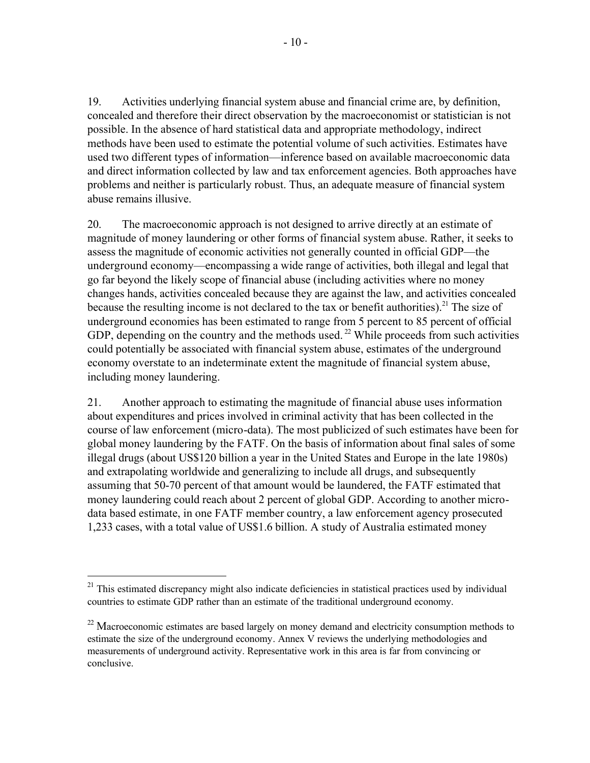19. Activities underlying financial system abuse and financial crime are, by definition, concealed and therefore their direct observation by the macroeconomist or statistician is not possible. In the absence of hard statistical data and appropriate methodology, indirect methods have been used to estimate the potential volume of such activities. Estimates have used two different types of information—inference based on available macroeconomic data and direct information collected by law and tax enforcement agencies. Both approaches have problems and neither is particularly robust. Thus, an adequate measure of financial system abuse remains illusive.

20. The macroeconomic approach is not designed to arrive directly at an estimate of magnitude of money laundering or other forms of financial system abuse. Rather, it seeks to assess the magnitude of economic activities not generally counted in official GDP—the underground economy—encompassing a wide range of activities, both illegal and legal that go far beyond the likely scope of financial abuse (including activities where no money changes hands, activities concealed because they are against the law, and activities concealed because the resulting income is not declared to the tax or benefit authorities).<sup>21</sup> The size of underground economies has been estimated to range from 5 percent to 85 percent of official GDP, depending on the country and the methods used.<sup>22</sup> While proceeds from such activities could potentially be associated with financial system abuse, estimates of the underground economy overstate to an indeterminate extent the magnitude of financial system abuse, including money laundering.

21. Another approach to estimating the magnitude of financial abuse uses information about expenditures and prices involved in criminal activity that has been collected in the course of law enforcement (micro-data). The most publicized of such estimates have been for global money laundering by the FATF. On the basis of information about final sales of some illegal drugs (about US\$120 billion a year in the United States and Europe in the late 1980s) and extrapolating worldwide and generalizing to include all drugs, and subsequently assuming that 50-70 percent of that amount would be laundered, the FATF estimated that money laundering could reach about 2 percent of global GDP. According to another microdata based estimate, in one FATF member country, a law enforcement agency prosecuted 1,233 cases, with a total value of US\$1.6 billion. A study of Australia estimated money

 $21$  This estimated discrepancy might also indicate deficiencies in statistical practices used by individual countries to estimate GDP rather than an estimate of the traditional underground economy.

<sup>&</sup>lt;sup>22</sup> Macroeconomic estimates are based largely on money demand and electricity consumption methods to estimate the size of the underground economy. Annex V reviews the underlying methodologies and measurements of underground activity. Representative work in this area is far from convincing or conclusive.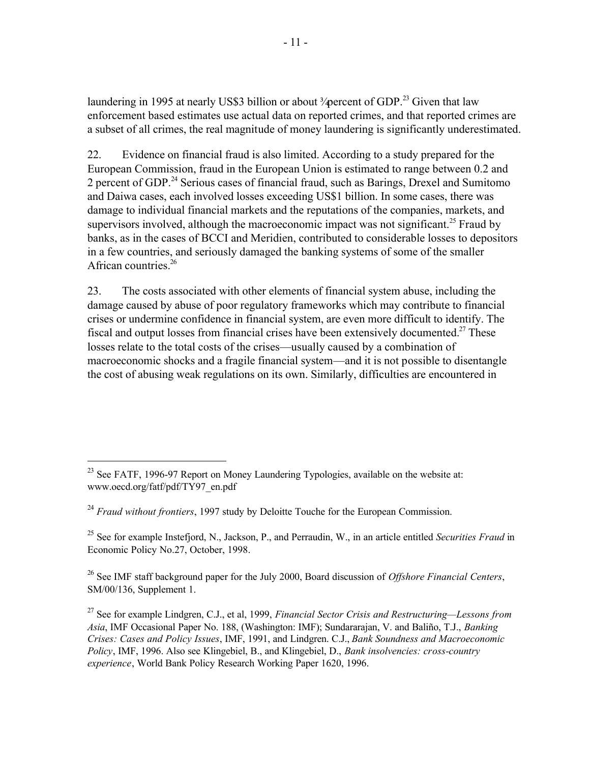laundering in 1995 at nearly US\$3 billion or about  $\frac{3}{\sqrt{2}}$  above that law enforcement based estimates use actual data on reported crimes, and that reported crimes are a subset of all crimes, the real magnitude of money laundering is significantly underestimated.

22. Evidence on financial fraud is also limited. According to a study prepared for the European Commission, fraud in the European Union is estimated to range between 0.2 and 2 percent of GDP.<sup>24</sup> Serious cases of financial fraud, such as Barings, Drexel and Sumitomo and Daiwa cases, each involved losses exceeding US\$1 billion. In some cases, there was damage to individual financial markets and the reputations of the companies, markets, and supervisors involved, although the macroeconomic impact was not significant.<sup>25</sup> Fraud by banks, as in the cases of BCCI and Meridien, contributed to considerable losses to depositors in a few countries, and seriously damaged the banking systems of some of the smaller African countries.<sup>26</sup>

23. The costs associated with other elements of financial system abuse, including the damage caused by abuse of poor regulatory frameworks which may contribute to financial crises or undermine confidence in financial system, are even more difficult to identify. The fiscal and output losses from financial crises have been extensively documented.<sup>27</sup> These losses relate to the total costs of the crises—usually caused by a combination of macroeconomic shocks and a fragile financial system—and it is not possible to disentangle the cost of abusing weak regulations on its own. Similarly, difficulties are encountered in

 $\overline{a}$ 

<sup>24</sup> *Fraud without frontiers*, 1997 study by Deloitte Touche for the European Commission.

<sup>25</sup> See for example Instefjord, N., Jackson, P., and Perraudin, W., in an article entitled *Securities Fraud* in Economic Policy No.27, October, 1998.

<sup>26</sup> See IMF staff background paper for the July 2000, Board discussion of *Offshore Financial Centers*, SM/00/136, Supplement 1.

<sup>&</sup>lt;sup>23</sup> See FATF, 1996-97 Report on Money Laundering Typologies, available on the website at: www.oecd.org/fatf/pdf/TY97\_en.pdf

<sup>27</sup> See for example Lindgren, C.J., et al, 1999, *Financial Sector Crisis and Restructuring—Lessons from Asia*, IMF Occasional Paper No. 188, (Washington: IMF); Sundararajan, V. and Baliño, T.J., *Banking Crises: Cases and Policy Issues*, IMF, 1991, and Lindgren. C.J., *Bank Soundness and Macroeconomic Policy*, IMF, 1996. Also see Klingebiel, B., and Klingebiel, D., *Bank insolvencies: cross-country experience*, World Bank Policy Research Working Paper 1620, 1996.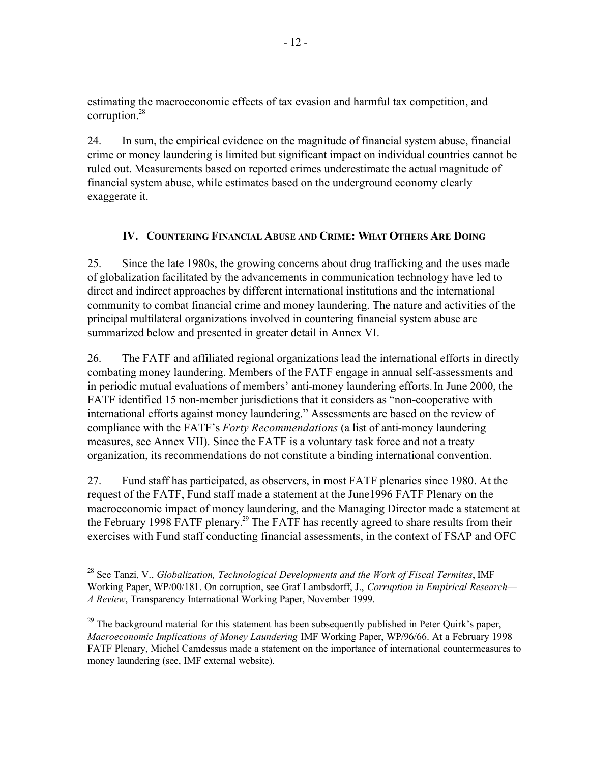estimating the macroeconomic effects of tax evasion and harmful tax competition, and corruption.<sup>28</sup>

24. In sum, the empirical evidence on the magnitude of financial system abuse, financial crime or money laundering is limited but significant impact on individual countries cannot be ruled out. Measurements based on reported crimes underestimate the actual magnitude of financial system abuse, while estimates based on the underground economy clearly exaggerate it.

# **IV. COUNTERING FINANCIAL ABUSE AND CRIME: WHAT OTHERS ARE DOING**

25. Since the late 1980s, the growing concerns about drug trafficking and the uses made of globalization facilitated by the advancements in communication technology have led to direct and indirect approaches by different international institutions and the international community to combat financial crime and money laundering. The nature and activities of the principal multilateral organizations involved in countering financial system abuse are summarized below and presented in greater detail in Annex VI.

26. The FATF and affiliated regional organizations lead the international efforts in directly combating money laundering. Members of the FATF engage in annual self-assessments and in periodic mutual evaluations of members' anti-money laundering efforts.In June 2000, the FATF identified 15 non-member jurisdictions that it considers as "non-cooperative with international efforts against money laundering." Assessments are based on the review of compliance with the FATF's *Forty Recommendations* (a list of anti-money laundering measures, see Annex VII). Since the FATF is a voluntary task force and not a treaty organization, its recommendations do not constitute a binding international convention.

27. Fund staff has participated, as observers, in most FATF plenaries since 1980. At the request of the FATF, Fund staff made a statement at the June1996 FATF Plenary on the macroeconomic impact of money laundering, and the Managing Director made a statement at the February 1998 FATF plenary.<sup>29</sup> The FATF has recently agreed to share results from their exercises with Fund staff conducting financial assessments, in the context of FSAP and OFC

<sup>28</sup> See Tanzi, V., *Globalization, Technological Developments and the Work of Fiscal Termites*, IMF Working Paper, WP/00/181. On corruption, see Graf Lambsdorff, J., *Corruption in Empirical Research— A Review*, Transparency International Working Paper, November 1999.

<sup>&</sup>lt;sup>29</sup> The background material for this statement has been subsequently published in Peter Quirk's paper, *Macroeconomic Implications of Money Laundering* IMF Working Paper, WP/96/66. At a February 1998 FATF Plenary, Michel Camdessus made a statement on the importance of international countermeasures to money laundering (see, IMF external website).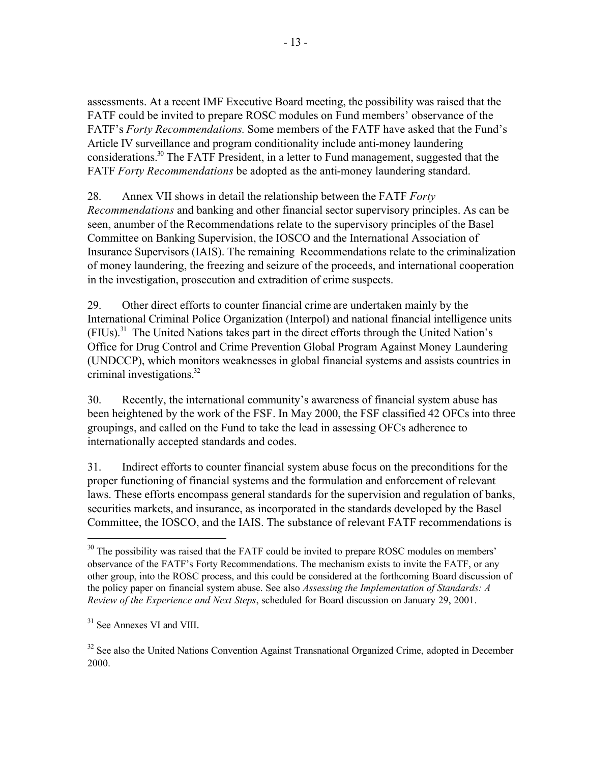assessments. At a recent IMF Executive Board meeting, the possibility was raised that the FATF could be invited to prepare ROSC modules on Fund members' observance of the FATF's *Forty Recommendations.* Some members of the FATF have asked that the Fund's Article IV surveillance and program conditionality include anti-money laundering considerations.<sup>30</sup> The FATF President, in a letter to Fund management, suggested that the FATF *Forty Recommendations* be adopted as the anti-money laundering standard.

28. Annex VII shows in detail the relationship between the FATF *Forty Recommendations* and banking and other financial sector supervisory principles. As can be seen, anumber of the Recommendations relate to the supervisory principles of the Basel Committee on Banking Supervision, the IOSCO and the International Association of Insurance Supervisors (IAIS). The remaining Recommendations relate to the criminalization of money laundering, the freezing and seizure of the proceeds, and international cooperation in the investigation, prosecution and extradition of crime suspects.

29. Other direct efforts to counter financial crime are undertaken mainly by the International Criminal Police Organization (Interpol) and national financial intelligence units (FIUs).<sup>31</sup> The United Nations takes part in the direct efforts through the United Nation's Office for Drug Control and Crime Prevention Global Program Against Money Laundering (UNDCCP), which monitors weaknesses in global financial systems and assists countries in criminal investigations.<sup>32</sup>

30. Recently, the international community's awareness of financial system abuse has been heightened by the work of the FSF. In May 2000, the FSF classified 42 OFCs into three groupings, and called on the Fund to take the lead in assessing OFCs adherence to internationally accepted standards and codes.

31. Indirect efforts to counter financial system abuse focus on the preconditions for the proper functioning of financial systems and the formulation and enforcement of relevant laws. These efforts encompass general standards for the supervision and regulation of banks, securities markets, and insurance, as incorporated in the standards developed by the Basel Committee, the IOSCO, and the IAIS. The substance of relevant FATF recommendations is

<sup>&</sup>lt;sup>30</sup> The possibility was raised that the FATF could be invited to prepare ROSC modules on members' observance of the FATF's Forty Recommendations. The mechanism exists to invite the FATF, or any other group, into the ROSC process, and this could be considered at the forthcoming Board discussion of the policy paper on financial system abuse. See also *Assessing the Implementation of Standards: A Review of the Experience and Next Steps*, scheduled for Board discussion on January 29, 2001.

 $31$  See Annexes VI and VIII.

<sup>&</sup>lt;sup>32</sup> See also the United Nations Convention Against Transnational Organized Crime, adopted in December 2000.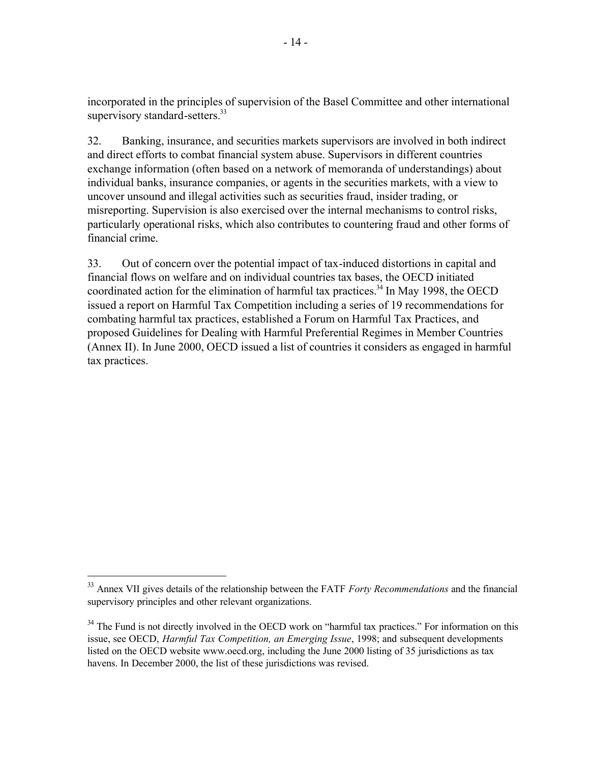incorporated in the principles of supervision of the Basel Committee and other international supervisory standard-setters.<sup>33</sup>

32. Banking, insurance, and securities markets supervisors are involved in both indirect and direct efforts to combat financial system abuse. Supervisors in different countries exchange information (often based on a network of memoranda of understandings) about individual banks, insurance companies, or agents in the securities markets, with a view to uncover unsound and illegal activities such as securities fraud, insider trading, or misreporting. Supervision is also exercised over the internal mechanisms to control risks, particularly operational risks, which also contributes to countering fraud and other forms of financial crime.

33. Out of concern over the potential impact of tax-induced distortions in capital and financial flows on welfare and on individual countries tax bases, the OECD initiated coordinated action for the elimination of harmful tax practices.<sup>34</sup> In May 1998, the OECD issued a report on Harmful Tax Competition including a series of 19 recommendations for combating harmful tax practices, established a Forum on Harmful Tax Practices, and proposed Guidelines for Dealing with Harmful Preferential Regimes in Member Countries (Annex II). In June 2000, OECD issued a list of countries it considers as engaged in harmful tax practices.

<sup>33</sup> Annex VII gives details of the relationship between the FATF *Forty Recommendations* and the financial supervisory principles and other relevant organizations.

<sup>&</sup>lt;sup>34</sup> The Fund is not directly involved in the OECD work on "harmful tax practices." For information on this issue, see OECD, *Harmful Tax Competition, an Emerging Issue*, 1998; and subsequent developments listed on the OECD website www.oecd.org, including the June 2000 listing of 35 jurisdictions as tax havens. In December 2000, the list of these jurisdictions was revised.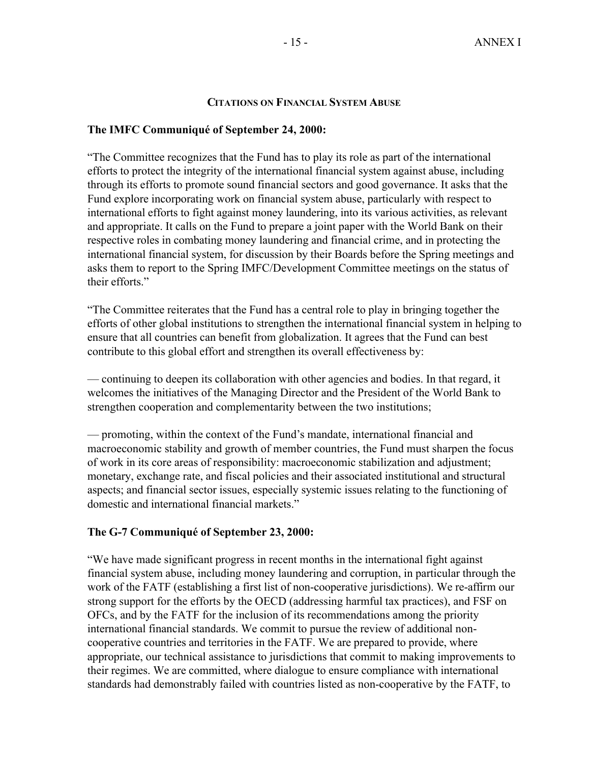### **CITATIONS ON FINANCIAL SYSTEM ABUSE**

## **The IMFC Communiqué of September 24, 2000:**

"The Committee recognizes that the Fund has to play its role as part of the international efforts to protect the integrity of the international financial system against abuse, including through its efforts to promote sound financial sectors and good governance. It asks that the Fund explore incorporating work on financial system abuse, particularly with respect to international efforts to fight against money laundering, into its various activities, as relevant and appropriate. It calls on the Fund to prepare a joint paper with the World Bank on their respective roles in combating money laundering and financial crime, and in protecting the international financial system, for discussion by their Boards before the Spring meetings and asks them to report to the Spring IMFC/Development Committee meetings on the status of their efforts."

"The Committee reiterates that the Fund has a central role to play in bringing together the efforts of other global institutions to strengthen the international financial system in helping to ensure that all countries can benefit from globalization. It agrees that the Fund can best contribute to this global effort and strengthen its overall effectiveness by:

— continuing to deepen its collaboration with other agencies and bodies. In that regard, it welcomes the initiatives of the Managing Director and the President of the World Bank to strengthen cooperation and complementarity between the two institutions;

— promoting, within the context of the Fund's mandate, international financial and macroeconomic stability and growth of member countries, the Fund must sharpen the focus of work in its core areas of responsibility: macroeconomic stabilization and adjustment; monetary, exchange rate, and fiscal policies and their associated institutional and structural aspects; and financial sector issues, especially systemic issues relating to the functioning of domestic and international financial markets."

## **The G-7 Communiqué of September 23, 2000:**

"We have made significant progress in recent months in the international fight against financial system abuse, including money laundering and corruption, in particular through the work of the FATF (establishing a first list of non-cooperative jurisdictions). We re-affirm our strong support for the efforts by the OECD (addressing harmful tax practices), and FSF on OFCs, and by the FATF for the inclusion of its recommendations among the priority international financial standards. We commit to pursue the review of additional noncooperative countries and territories in the FATF. We are prepared to provide, where appropriate, our technical assistance to jurisdictions that commit to making improvements to their regimes. We are committed, where dialogue to ensure compliance with international standards had demonstrably failed with countries listed as non-cooperative by the FATF, to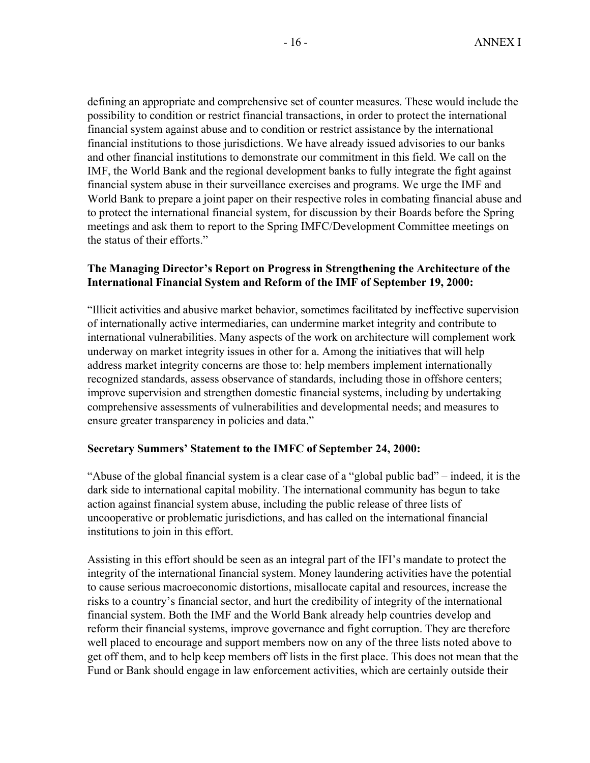defining an appropriate and comprehensive set of counter measures. These would include the possibility to condition or restrict financial transactions, in order to protect the international financial system against abuse and to condition or restrict assistance by the international financial institutions to those jurisdictions. We have already issued advisories to our banks and other financial institutions to demonstrate our commitment in this field. We call on the IMF, the World Bank and the regional development banks to fully integrate the fight against financial system abuse in their surveillance exercises and programs. We urge the IMF and World Bank to prepare a joint paper on their respective roles in combating financial abuse and to protect the international financial system, for discussion by their Boards before the Spring meetings and ask them to report to the Spring IMFC/Development Committee meetings on the status of their efforts."

# **The Managing Director's Report on Progress in Strengthening the Architecture of the International Financial System and Reform of the IMF of September 19, 2000:**

"Illicit activities and abusive market behavior, sometimes facilitated by ineffective supervision of internationally active intermediaries, can undermine market integrity and contribute to international vulnerabilities. Many aspects of the work on architecture will complement work underway on market integrity issues in other for a. Among the initiatives that will help address market integrity concerns are those to: help members implement internationally recognized standards, assess observance of standards, including those in offshore centers; improve supervision and strengthen domestic financial systems, including by undertaking comprehensive assessments of vulnerabilities and developmental needs; and measures to ensure greater transparency in policies and data."

## **Secretary Summers' Statement to the IMFC of September 24, 2000:**

"Abuse of the global financial system is a clear case of a "global public bad" – indeed, it is the dark side to international capital mobility. The international community has begun to take action against financial system abuse, including the public release of three lists of uncooperative or problematic jurisdictions, and has called on the international financial institutions to join in this effort.

Assisting in this effort should be seen as an integral part of the IFI's mandate to protect the integrity of the international financial system. Money laundering activities have the potential to cause serious macroeconomic distortions, misallocate capital and resources, increase the risks to a country's financial sector, and hurt the credibility of integrity of the international financial system. Both the IMF and the World Bank already help countries develop and reform their financial systems, improve governance and fight corruption. They are therefore well placed to encourage and support members now on any of the three lists noted above to get off them, and to help keep members off lists in the first place. This does not mean that the Fund or Bank should engage in law enforcement activities, which are certainly outside their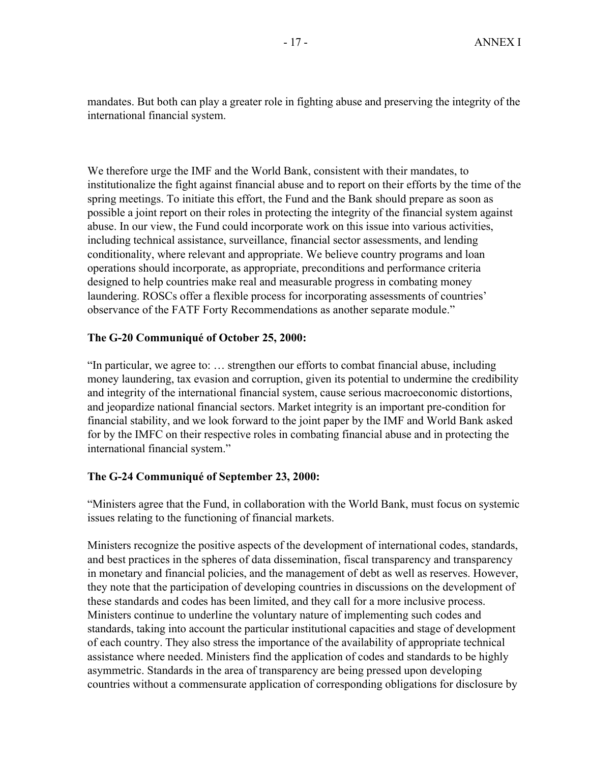mandates. But both can play a greater role in fighting abuse and preserving the integrity of the international financial system.

We therefore urge the IMF and the World Bank, consistent with their mandates, to institutionalize the fight against financial abuse and to report on their efforts by the time of the spring meetings. To initiate this effort, the Fund and the Bank should prepare as soon as possible a joint report on their roles in protecting the integrity of the financial system against abuse. In our view, the Fund could incorporate work on this issue into various activities, including technical assistance, surveillance, financial sector assessments, and lending conditionality, where relevant and appropriate. We believe country programs and loan operations should incorporate, as appropriate, preconditions and performance criteria designed to help countries make real and measurable progress in combating money laundering. ROSCs offer a flexible process for incorporating assessments of countries' observance of the FATF Forty Recommendations as another separate module."

# **The G-20 Communiqué of October 25, 2000:**

"In particular, we agree to: … strengthen our efforts to combat financial abuse, including money laundering, tax evasion and corruption, given its potential to undermine the credibility and integrity of the international financial system, cause serious macroeconomic distortions, and jeopardize national financial sectors. Market integrity is an important pre-condition for financial stability, and we look forward to the joint paper by the IMF and World Bank asked for by the IMFC on their respective roles in combating financial abuse and in protecting the international financial system."

# **The G-24 Communiqué of September 23, 2000:**

"Ministers agree that the Fund, in collaboration with the World Bank, must focus on systemic issues relating to the functioning of financial markets.

Ministers recognize the positive aspects of the development of international codes, standards, and best practices in the spheres of data dissemination, fiscal transparency and transparency in monetary and financial policies, and the management of debt as well as reserves. However, they note that the participation of developing countries in discussions on the development of these standards and codes has been limited, and they call for a more inclusive process. Ministers continue to underline the voluntary nature of implementing such codes and standards, taking into account the particular institutional capacities and stage of development of each country. They also stress the importance of the availability of appropriate technical assistance where needed. Ministers find the application of codes and standards to be highly asymmetric. Standards in the area of transparency are being pressed upon developing countries without a commensurate application of corresponding obligations for disclosure by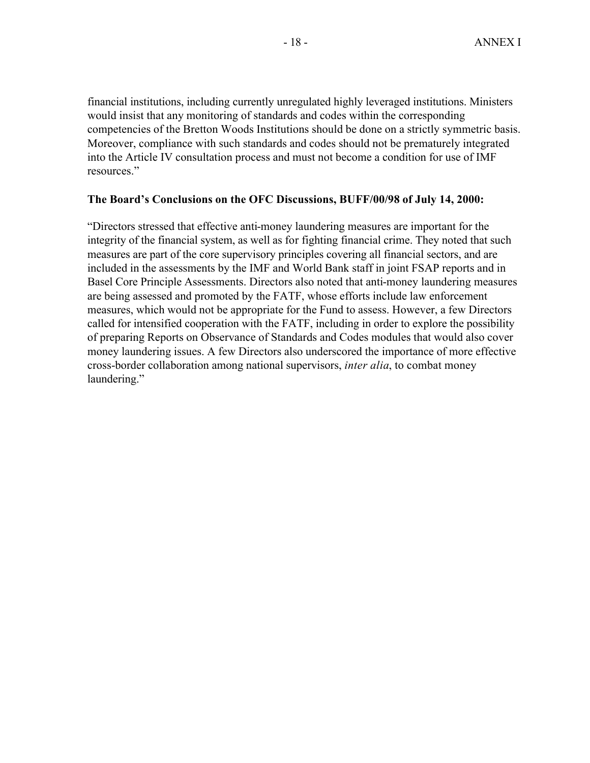financial institutions, including currently unregulated highly leveraged institutions. Ministers would insist that any monitoring of standards and codes within the corresponding competencies of the Bretton Woods Institutions should be done on a strictly symmetric basis. Moreover, compliance with such standards and codes should not be prematurely integrated into the Article IV consultation process and must not become a condition for use of IMF resources."

## **The Board's Conclusions on the OFC Discussions, BUFF/00/98 of July 14, 2000:**

"Directors stressed that effective anti-money laundering measures are important for the integrity of the financial system, as well as for fighting financial crime. They noted that such measures are part of the core supervisory principles covering all financial sectors, and are included in the assessments by the IMF and World Bank staff in joint FSAP reports and in Basel Core Principle Assessments. Directors also noted that anti-money laundering measures are being assessed and promoted by the FATF, whose efforts include law enforcement measures, which would not be appropriate for the Fund to assess. However, a few Directors called for intensified cooperation with the FATF, including in order to explore the possibility of preparing Reports on Observance of Standards and Codes modules that would also cover money laundering issues. A few Directors also underscored the importance of more effective cross-border collaboration among national supervisors, *inter alia*, to combat money laundering."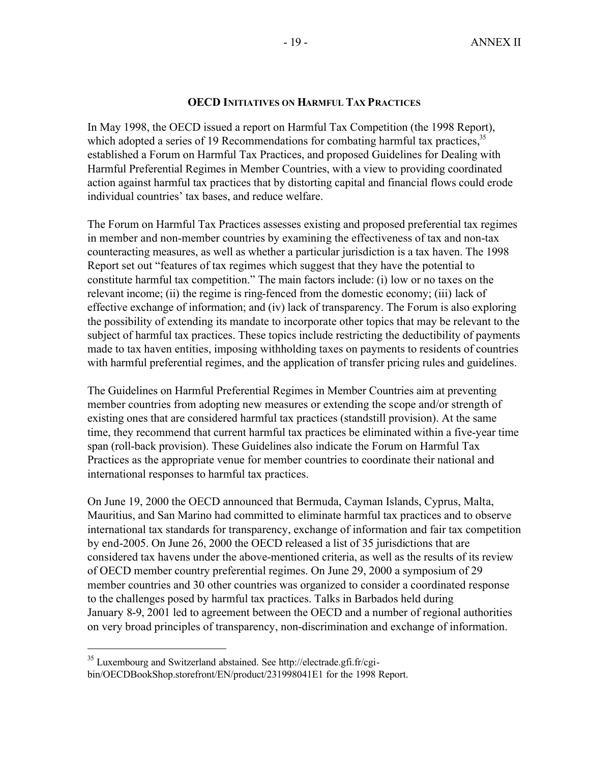## **OECD INITIATIVES ON HARMFUL TAX PRACTICES**

In May 1998, the OECD issued a report on Harmful Tax Competition (the 1998 Report), which adopted a series of 19 Recommendations for combating harmful tax practices,<sup>35</sup> established a Forum on Harmful Tax Practices, and proposed Guidelines for Dealing with Harmful Preferential Regimes in Member Countries, with a view to providing coordinated action against harmful tax practices that by distorting capital and financial flows could erode individual countries' tax bases, and reduce welfare.

The Forum on Harmful Tax Practices assesses existing and proposed preferential tax regimes in member and non-member countries by examining the effectiveness of tax and non-tax counteracting measures, as well as whether a particular jurisdiction is a tax haven. The 1998 Report set out "features of tax regimes which suggest that they have the potential to constitute harmful tax competition." The main factors include: (i) low or no taxes on the relevant income; (ii) the regime is ring-fenced from the domestic economy; (iii) lack of effective exchange of information; and (iv) lack of transparency. The Forum is also exploring the possibility of extending its mandate to incorporate other topics that may be relevant to the subject of harmful tax practices. These topics include restricting the deductibility of payments made to tax haven entities, imposing withholding taxes on payments to residents of countries with harmful preferential regimes, and the application of transfer pricing rules and guidelines.

The Guidelines on Harmful Preferential Regimes in Member Countries aim at preventing member countries from adopting new measures or extending the scope and/or strength of existing ones that are considered harmful tax practices (standstill provision). At the same time, they recommend that current harmful tax practices be eliminated within a five-year time span (roll-back provision). These Guidelines also indicate the Forum on Harmful Tax Practices as the appropriate venue for member countries to coordinate their national and international responses to harmful tax practices.

On June 19, 2000 the OECD announced that Bermuda, Cayman Islands, Cyprus, Malta, Mauritius, and San Marino had committed to eliminate harmful tax practices and to observe international tax standards for transparency, exchange of information and fair tax competition by end-2005. On June 26, 2000 the OECD released a list of 35 jurisdictions that are considered tax havens under the above-mentioned criteria, as well as the results of its review of OECD member country preferential regimes. On June 29, 2000 a symposium of 29 member countries and 30 other countries was organized to consider a coordinated response to the challenges posed by harmful tax practices. Talks in Barbados held during January 8-9, 2001 led to agreement between the OECD and a number of regional authorities on very broad principles of transparency, non-discrimination and exchange of information.

<sup>35</sup> Luxembourg and Switzerland abstained. See http://electrade.gfi.fr/cgibin/OECDBookShop.storefront/EN/product/231998041E1 for the 1998 Report.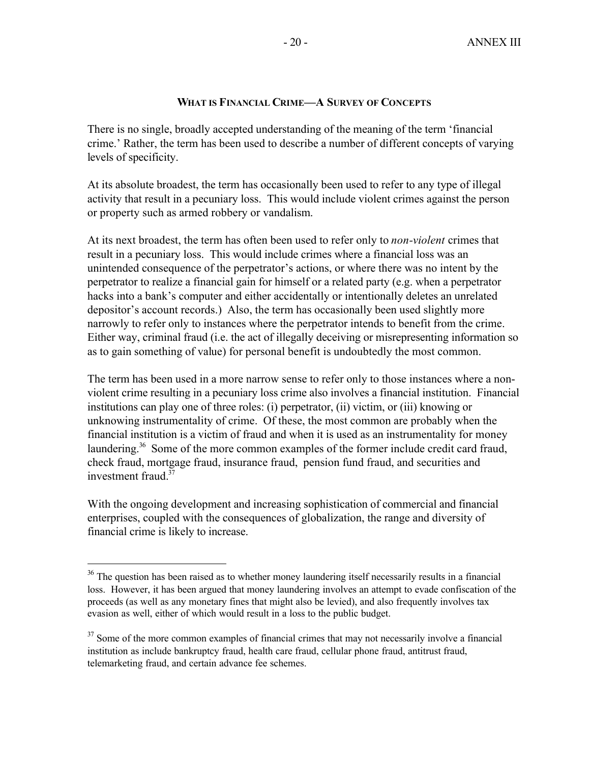# **WHAT IS FINANCIAL CRIME—A SURVEY OF CONCEPTS**

There is no single, broadly accepted understanding of the meaning of the term 'financial crime.' Rather, the term has been used to describe a number of different concepts of varying levels of specificity.

At its absolute broadest, the term has occasionally been used to refer to any type of illegal activity that result in a pecuniary loss. This would include violent crimes against the person or property such as armed robbery or vandalism.

At its next broadest, the term has often been used to refer only to *non-violent* crimes that result in a pecuniary loss. This would include crimes where a financial loss was an unintended consequence of the perpetrator's actions, or where there was no intent by the perpetrator to realize a financial gain for himself or a related party (e.g. when a perpetrator hacks into a bank's computer and either accidentally or intentionally deletes an unrelated depositor's account records.) Also, the term has occasionally been used slightly more narrowly to refer only to instances where the perpetrator intends to benefit from the crime. Either way, criminal fraud (i.e. the act of illegally deceiving or misrepresenting information so as to gain something of value) for personal benefit is undoubtedly the most common.

The term has been used in a more narrow sense to refer only to those instances where a nonviolent crime resulting in a pecuniary loss crime also involves a financial institution. Financial institutions can play one of three roles: (i) perpetrator, (ii) victim, or (iii) knowing or unknowing instrumentality of crime. Of these, the most common are probably when the financial institution is a victim of fraud and when it is used as an instrumentality for money laundering.<sup>36</sup> Some of the more common examples of the former include credit card fraud, check fraud, mortgage fraud, insurance fraud, pension fund fraud, and securities and investment fraud  $37$ 

With the ongoing development and increasing sophistication of commercial and financial enterprises, coupled with the consequences of globalization, the range and diversity of financial crime is likely to increase.

<sup>&</sup>lt;sup>36</sup> The question has been raised as to whether money laundering itself necessarily results in a financial loss. However, it has been argued that money laundering involves an attempt to evade confiscation of the proceeds (as well as any monetary fines that might also be levied), and also frequently involves tax evasion as well, either of which would result in a loss to the public budget.

<sup>&</sup>lt;sup>37</sup> Some of the more common examples of financial crimes that may not necessarily involve a financial institution as include bankruptcy fraud, health care fraud, cellular phone fraud, antitrust fraud, telemarketing fraud, and certain advance fee schemes.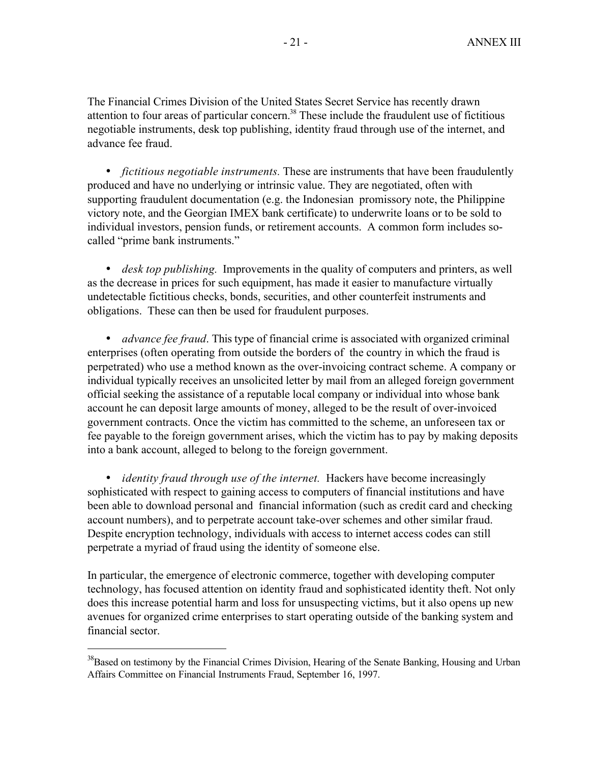The Financial Crimes Division of the United States Secret Service has recently drawn attention to four areas of particular concern.<sup>38</sup> These include the fraudulent use of fictitious negotiable instruments, desk top publishing, identity fraud through use of the internet, and advance fee fraud.

• *fictitious negotiable instruments.* These are instruments that have been fraudulently produced and have no underlying or intrinsic value. They are negotiated, often with supporting fraudulent documentation (e.g. the Indonesian promissory note, the Philippine victory note, and the Georgian IMEX bank certificate) to underwrite loans or to be sold to individual investors, pension funds, or retirement accounts. A common form includes socalled "prime bank instruments."

• *desk top publishing.* Improvements in the quality of computers and printers, as well as the decrease in prices for such equipment, has made it easier to manufacture virtually undetectable fictitious checks, bonds, securities, and other counterfeit instruments and obligations. These can then be used for fraudulent purposes.

• *advance fee fraud*. This type of financial crime is associated with organized criminal enterprises (often operating from outside the borders of the country in which the fraud is perpetrated) who use a method known as the over-invoicing contract scheme. A company or individual typically receives an unsolicited letter by mail from an alleged foreign government official seeking the assistance of a reputable local company or individual into whose bank account he can deposit large amounts of money, alleged to be the result of over-invoiced government contracts. Once the victim has committed to the scheme, an unforeseen tax or fee payable to the foreign government arises, which the victim has to pay by making deposits into a bank account, alleged to belong to the foreign government.

• *identity fraud through use of the internet.* Hackers have become increasingly sophisticated with respect to gaining access to computers of financial institutions and have been able to download personal and financial information (such as credit card and checking account numbers), and to perpetrate account take-over schemes and other similar fraud. Despite encryption technology, individuals with access to internet access codes can still perpetrate a myriad of fraud using the identity of someone else.

In particular, the emergence of electronic commerce, together with developing computer technology, has focused attention on identity fraud and sophisticated identity theft. Not only does this increase potential harm and loss for unsuspecting victims, but it also opens up new avenues for organized crime enterprises to start operating outside of the banking system and financial sector.

<sup>&</sup>lt;sup>38</sup>Based on testimony by the Financial Crimes Division, Hearing of the Senate Banking, Housing and Urban Affairs Committee on Financial Instruments Fraud, September 16, 1997.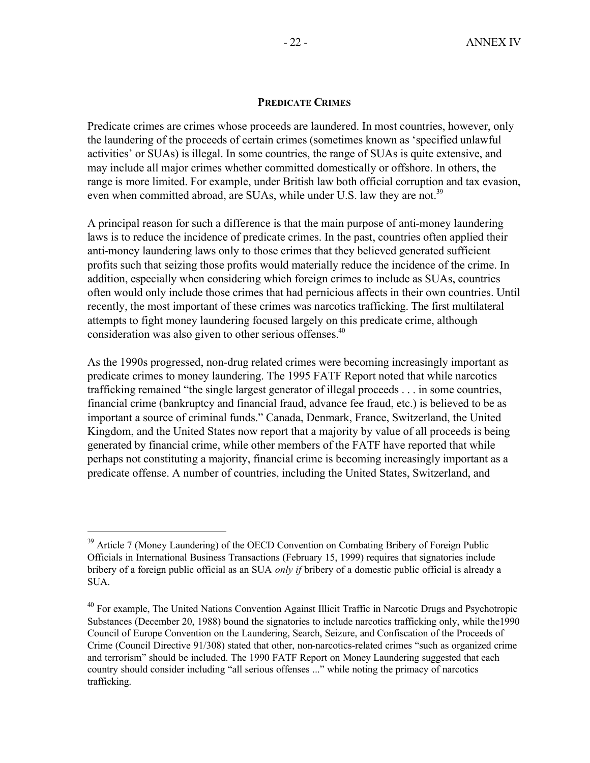## **PREDICATE CRIMES**

Predicate crimes are crimes whose proceeds are laundered. In most countries, however, only the laundering of the proceeds of certain crimes (sometimes known as 'specified unlawful activities' or SUAs) is illegal. In some countries, the range of SUAs is quite extensive, and may include all major crimes whether committed domestically or offshore. In others, the range is more limited. For example, under British law both official corruption and tax evasion, even when committed abroad, are SUAs, while under U.S. law they are not.<sup>39</sup>

A principal reason for such a difference is that the main purpose of anti-money laundering laws is to reduce the incidence of predicate crimes. In the past, countries often applied their anti-money laundering laws only to those crimes that they believed generated sufficient profits such that seizing those profits would materially reduce the incidence of the crime. In addition, especially when considering which foreign crimes to include as SUAs, countries often would only include those crimes that had pernicious affects in their own countries. Until recently, the most important of these crimes was narcotics trafficking. The first multilateral attempts to fight money laundering focused largely on this predicate crime, although consideration was also given to other serious offenses.<sup>40</sup>

As the 1990s progressed, non-drug related crimes were becoming increasingly important as predicate crimes to money laundering. The 1995 FATF Report noted that while narcotics trafficking remained "the single largest generator of illegal proceeds . . . in some countries, financial crime (bankruptcy and financial fraud, advance fee fraud, etc.) is believed to be as important a source of criminal funds." Canada, Denmark, France, Switzerland, the United Kingdom, and the United States now report that a majority by value of all proceeds is being generated by financial crime, while other members of the FATF have reported that while perhaps not constituting a majority, financial crime is becoming increasingly important as a predicate offense. A number of countries, including the United States, Switzerland, and

<sup>&</sup>lt;sup>39</sup> Article 7 (Money Laundering) of the OECD Convention on Combating Bribery of Foreign Public Officials in International Business Transactions (February 15, 1999) requires that signatories include bribery of a foreign public official as an SUA *only if* bribery of a domestic public official is already a SUA.

<sup>&</sup>lt;sup>40</sup> For example, The United Nations Convention Against Illicit Traffic in Narcotic Drugs and Psychotropic Substances (December 20, 1988) bound the signatories to include narcotics trafficking only, while the1990 Council of Europe Convention on the Laundering, Search, Seizure, and Confiscation of the Proceeds of Crime (Council Directive 91/308) stated that other, non-narcotics-related crimes "such as organized crime and terrorism" should be included. The 1990 FATF Report on Money Laundering suggested that each country should consider including "all serious offenses ..." while noting the primacy of narcotics trafficking.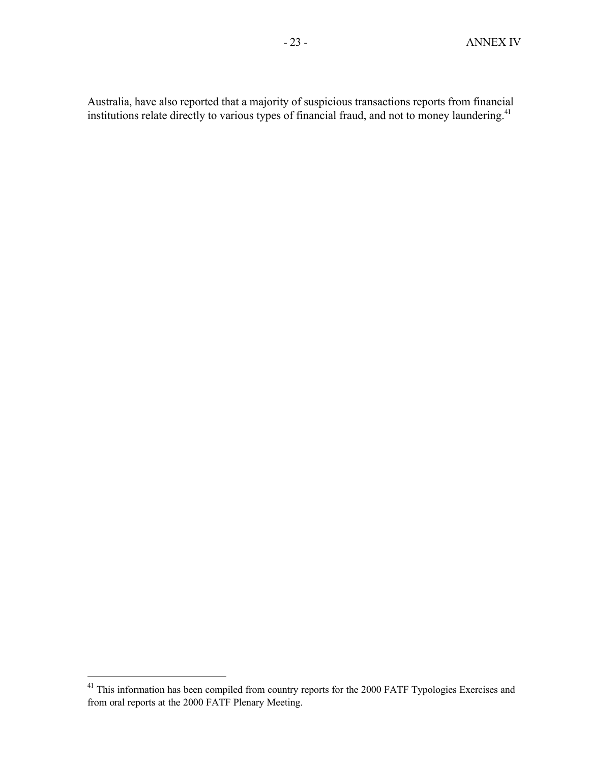Australia, have also reported that a majority of suspicious transactions reports from financial institutions relate directly to various types of financial fraud, and not to money laundering.<sup>41</sup>

 $41$  This information has been compiled from country reports for the 2000 FATF Typologies Exercises and from oral reports at the 2000 FATF Plenary Meeting.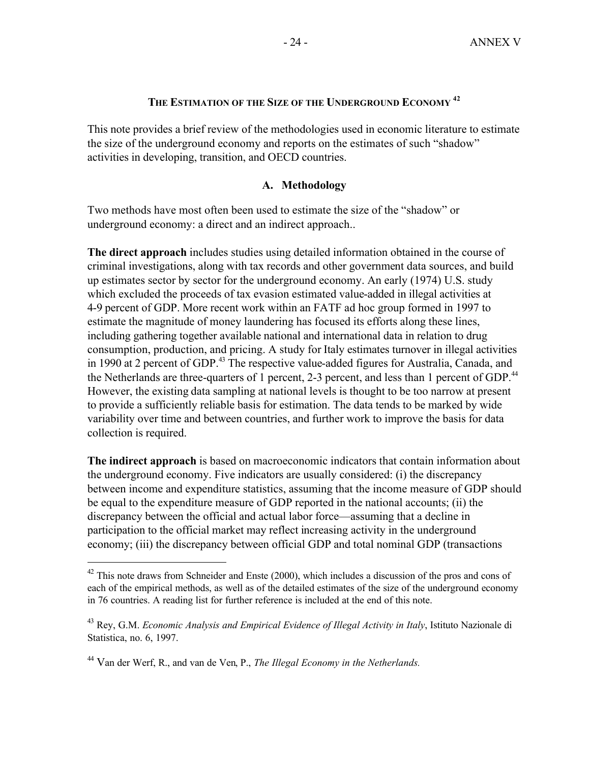# **THE ESTIMATION OF THE SIZE OF THE UNDERGROUND ECONOMY <sup>42</sup>**

This note provides a brief review of the methodologies used in economic literature to estimate the size of the underground economy and reports on the estimates of such "shadow" activities in developing, transition, and OECD countries.

# **A. Methodology**

Two methods have most often been used to estimate the size of the "shadow" or underground economy: a direct and an indirect approach..

**The direct approach** includes studies using detailed information obtained in the course of criminal investigations, along with tax records and other government data sources, and build up estimates sector by sector for the underground economy. An early (1974) U.S. study which excluded the proceeds of tax evasion estimated value-added in illegal activities at 4-9 percent of GDP. More recent work within an FATF ad hoc group formed in 1997 to estimate the magnitude of money laundering has focused its efforts along these lines, including gathering together available national and international data in relation to drug consumption, production, and pricing. A study for Italy estimates turnover in illegal activities in 1990 at 2 percent of GDP.<sup>43</sup> The respective value-added figures for Australia, Canada, and the Netherlands are three-quarters of 1 percent, 2-3 percent, and less than 1 percent of GDP.<sup>44</sup> However, the existing data sampling at national levels is thought to be too narrow at present to provide a sufficiently reliable basis for estimation. The data tends to be marked by wide variability over time and between countries, and further work to improve the basis for data collection is required.

**The indirect approach** is based on macroeconomic indicators that contain information about the underground economy. Five indicators are usually considered: (i) the discrepancy between income and expenditure statistics, assuming that the income measure of GDP should be equal to the expenditure measure of GDP reported in the national accounts; (ii) the discrepancy between the official and actual labor force—assuming that a decline in participation to the official market may reflect increasing activity in the underground economy; (iii) the discrepancy between official GDP and total nominal GDP (transactions

<sup>&</sup>lt;sup>42</sup> This note draws from Schneider and Enste (2000), which includes a discussion of the pros and cons of each of the empirical methods, as well as of the detailed estimates of the size of the underground economy in 76 countries. A reading list for further reference is included at the end of this note.

<sup>43</sup> Rey, G.M. *Economic Analysis and Empirical Evidence of Illegal Activity in Italy*, Istituto Nazionale di Statistica, no. 6, 1997.

<sup>44</sup> Van der Werf, R., and van de Ven, P., *The Illegal Economy in the Netherlands.*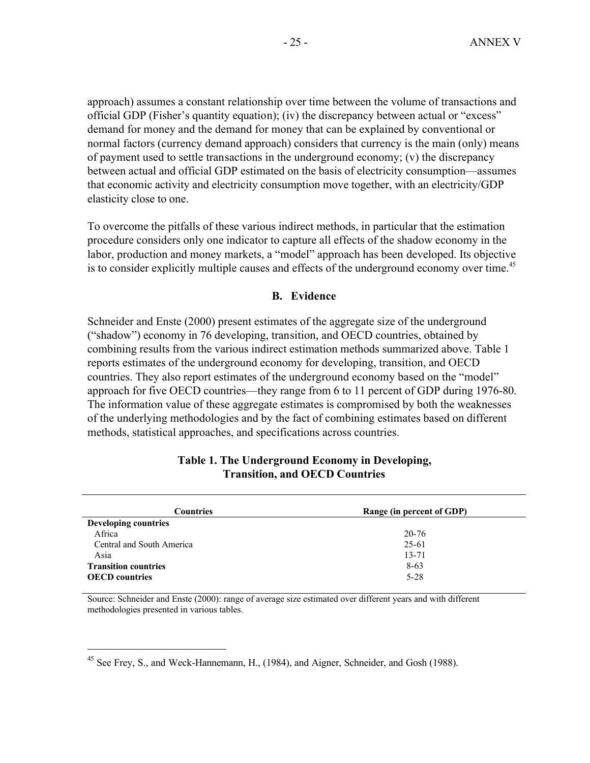approach) assumes a constant relationship over time between the volume of transactions and official GDP (Fisher's quantity equation); (iv) the discrepancy between actual or "excess" demand for money and the demand for money that can be explained by conventional or normal factors (currency demand approach) considers that currency is the main (only) means of payment used to settle transactions in the underground economy; (v) the discrepancy between actual and official GDP estimated on the basis of electricity consumption—assumes that economic activity and electricity consumption move together, with an electricity/GDP elasticity close to one.

To overcome the pitfalls of these various indirect methods, in particular that the estimation procedure considers only one indicator to capture all effects of the shadow economy in the labor, production and money markets, a "model" approach has been developed. Its objective is to consider explicitly multiple causes and effects of the underground economy over time.<sup>45</sup>

#### **B. Evidence**

Schneider and Enste (2000) present estimates of the aggregate size of the underground ("shadow") economy in 76 developing, transition, and OECD countries, obtained by combining results from the various indirect estimation methods summarized above. Table 1 reports estimates of the underground economy for developing, transition, and OECD countries. They also report estimates of the underground economy based on the "model" approach for five OECD countries—they range from 6 to 11 percent of GDP during 1976-80. The information value of these aggregate estimates is compromised by both the weaknesses of the underlying methodologies and by the fact of combining estimates based on different methods, statistical approaches, and specifications across countries.

| <b>Countries</b>            | Range (in percent of GDP) |  |  |  |  |
|-----------------------------|---------------------------|--|--|--|--|
| <b>Developing countries</b> |                           |  |  |  |  |
| Africa                      | 20-76                     |  |  |  |  |
| Central and South America   | 25-61                     |  |  |  |  |
| Asia                        | $13 - 71$                 |  |  |  |  |
| <b>Transition countries</b> | $8-63$                    |  |  |  |  |
| <b>OECD</b> countries       | $5 - 28$                  |  |  |  |  |

### **Table 1. The Underground Economy in Developing, Transition, and OECD Countries**

Source: Schneider and Enste (2000): range of average size estimated over different years and with different methodologies presented in various tables.

<sup>&</sup>lt;sup>45</sup> See Frey, S., and Weck-Hannemann, H., (1984), and Aigner, Schneider, and Gosh (1988).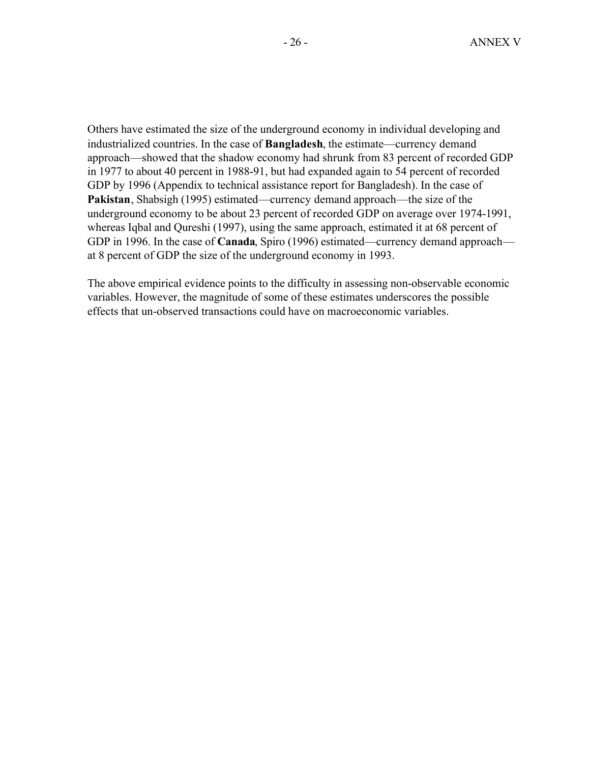Others have estimated the size of the underground economy in individual developing and industrialized countries. In the case of **Bangladesh**, the estimate—currency demand approach—showed that the shadow economy had shrunk from 83 percent of recorded GDP in 1977 to about 40 percent in 1988-91, but had expanded again to 54 percent of recorded GDP by 1996 (Appendix to technical assistance report for Bangladesh). In the case of **Pakistan**, Shabsigh (1995) estimated—currency demand approach—the size of the underground economy to be about 23 percent of recorded GDP on average over 1974-1991, whereas Iqbal and Qureshi (1997), using the same approach, estimated it at 68 percent of GDP in 1996. In the case of **Canada**, Spiro (1996) estimated—currency demand approach at 8 percent of GDP the size of the underground economy in 1993.

The above empirical evidence points to the difficulty in assessing non-observable economic variables. However, the magnitude of some of these estimates underscores the possible effects that un-observed transactions could have on macroeconomic variables.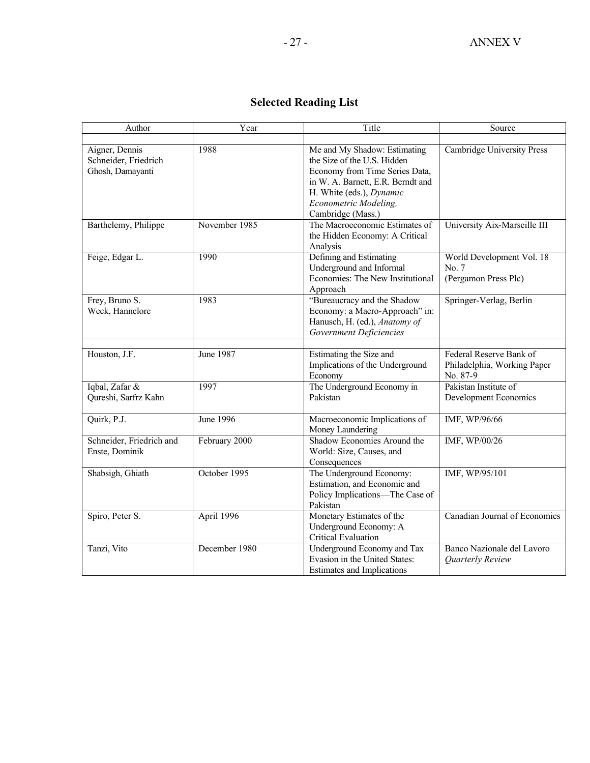# **Selected Reading List**

| Author                                                     | Year             | Title                                                                                                                                                                                                        | Source                                                             |
|------------------------------------------------------------|------------------|--------------------------------------------------------------------------------------------------------------------------------------------------------------------------------------------------------------|--------------------------------------------------------------------|
|                                                            |                  |                                                                                                                                                                                                              |                                                                    |
| Aigner, Dennis<br>Schneider, Friedrich<br>Ghosh, Damayanti | 1988             | Me and My Shadow: Estimating<br>the Size of the U.S. Hidden<br>Economy from Time Series Data,<br>in W. A. Barnett, E.R. Berndt and<br>H. White (eds.), Dynamic<br>Econometric Modeling,<br>Cambridge (Mass.) | Cambridge University Press                                         |
| Barthelemy, Philippe                                       | November 1985    | The Macroeconomic Estimates of<br>the Hidden Economy: A Critical<br>Analysis                                                                                                                                 | University Aix-Marseille III                                       |
| Feige, Edgar L.                                            | 1990             | Defining and Estimating<br>Underground and Informal<br>Economies: The New Institutional<br>Approach                                                                                                          | World Development Vol. 18<br>No. 7<br>(Pergamon Press Plc)         |
| Frey, Bruno S.<br>Weck, Hannelore                          | 1983             | "Bureaucracy and the Shadow<br>Economy: a Macro-Approach" in:<br>Hanusch, H. (ed.), Anatomy of<br><b>Government Deficiencies</b>                                                                             | Springer-Verlag, Berlin                                            |
| Houston, J.F.                                              | June 1987        | Estimating the Size and<br>Implications of the Underground<br>Economy                                                                                                                                        | Federal Reserve Bank of<br>Philadelphia, Working Paper<br>No. 87-9 |
| Iqbal, Zafar &<br>Qureshi, Sarfrz Kahn                     | 1997             | The Underground Economy in<br>Pakistan                                                                                                                                                                       | Pakistan Institute of<br>Development Economics                     |
| Quirk, P.J.                                                | <b>June 1996</b> | Macroeconomic Implications of<br>Money Laundering                                                                                                                                                            | IMF, WP/96/66                                                      |
| Schneider, Friedrich and<br>Enste, Dominik                 | February 2000    | Shadow Economies Around the<br>World: Size, Causes, and<br>Consequences                                                                                                                                      | IMF, WP/00/26                                                      |
| Shabsigh, Ghiath                                           | October 1995     | The Underground Economy:<br>Estimation, and Economic and<br>Policy Implications-The Case of<br>Pakistan                                                                                                      | IMF, WP/95/101                                                     |
| Spiro, Peter S.                                            | April 1996       | Monetary Estimates of the<br>Underground Economy: A<br>Critical Evaluation                                                                                                                                   | Canadian Journal of Economics                                      |
| Tanzi, Vito                                                | December 1980    | Underground Economy and Tax<br>Evasion in the United States:<br><b>Estimates and Implications</b>                                                                                                            | Banco Nazionale del Lavoro<br>Quarterly Review                     |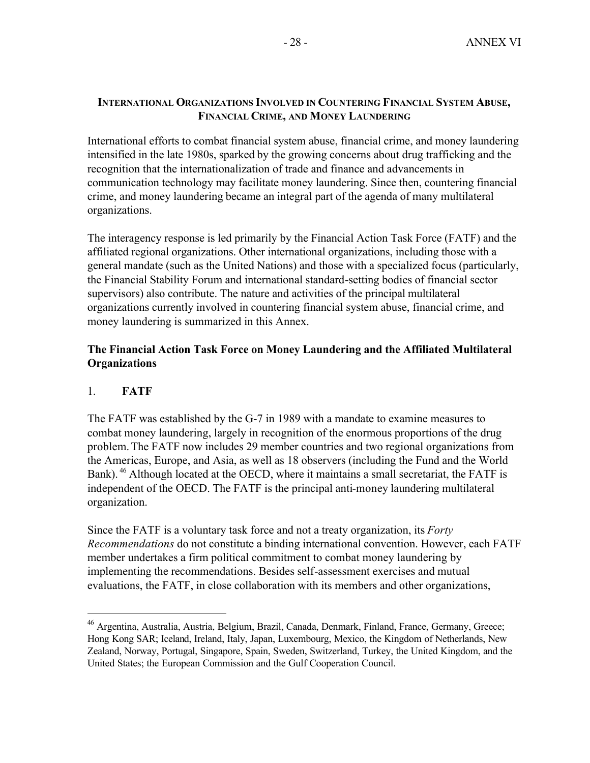# **INTERNATIONAL ORGANIZATIONS INVOLVED IN COUNTERING FINANCIAL SYSTEM ABUSE, FINANCIAL CRIME, AND MONEY LAUNDERING**

International efforts to combat financial system abuse, financial crime, and money laundering intensified in the late 1980s, sparked by the growing concerns about drug trafficking and the recognition that the internationalization of trade and finance and advancements in communication technology may facilitate money laundering. Since then, countering financial crime, and money laundering became an integral part of the agenda of many multilateral organizations.

The interagency response is led primarily by the Financial Action Task Force (FATF) and the affiliated regional organizations. Other international organizations, including those with a general mandate (such as the United Nations) and those with a specialized focus (particularly, the Financial Stability Forum and international standard-setting bodies of financial sector supervisors) also contribute. The nature and activities of the principal multilateral organizations currently involved in countering financial system abuse, financial crime, and money laundering is summarized in this Annex.

# **The Financial Action Task Force on Money Laundering and the Affiliated Multilateral Organizations**

# 1. **FATF**

 $\overline{a}$ 

The FATF was established by the G-7 in 1989 with a mandate to examine measures to combat money laundering, largely in recognition of the enormous proportions of the drug problem.The FATF now includes 29 member countries and two regional organizations from the Americas, Europe, and Asia, as well as 18 observers (including the Fund and the World Bank). <sup>46</sup> Although located at the OECD, where it maintains a small secretariat, the FATF is independent of the OECD. The FATF is the principal anti-money laundering multilateral organization.

Since the FATF is a voluntary task force and not a treaty organization, its *Forty Recommendations* do not constitute a binding international convention. However, each FATF member undertakes a firm political commitment to combat money laundering by implementing the recommendations. Besides self-assessment exercises and mutual evaluations, the FATF, in close collaboration with its members and other organizations,

<sup>&</sup>lt;sup>46</sup> Argentina, Australia, Austria, Belgium, Brazil, Canada, Denmark, Finland, France, Germany, Greece; Hong Kong SAR; Iceland, Ireland, Italy, Japan, Luxembourg, Mexico, the Kingdom of Netherlands, New Zealand, Norway, Portugal, Singapore, Spain, Sweden, Switzerland, Turkey, the United Kingdom, and the United States; the European Commission and the Gulf Cooperation Council.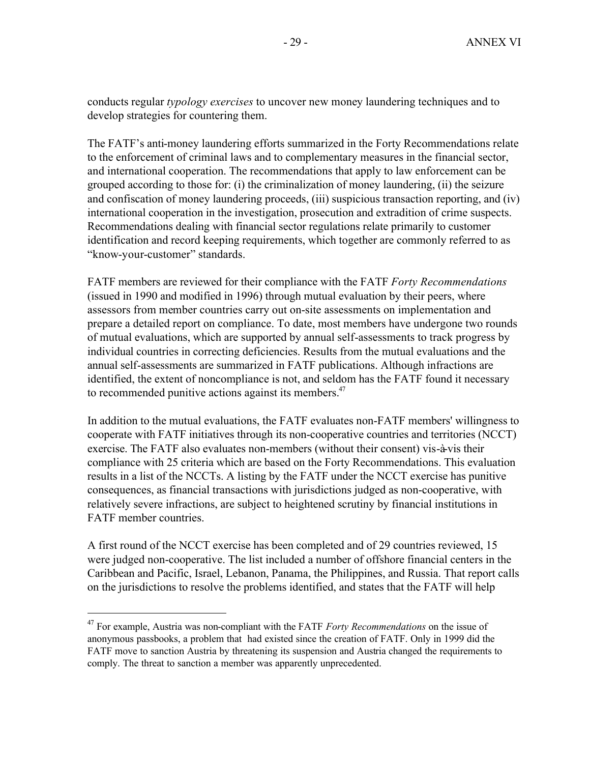conducts regular *typology exercises* to uncover new money laundering techniques and to develop strategies for countering them.

The FATF's anti-money laundering efforts summarized in the Forty Recommendations relate to the enforcement of criminal laws and to complementary measures in the financial sector, and international cooperation. The recommendations that apply to law enforcement can be grouped according to those for: (i) the criminalization of money laundering, (ii) the seizure and confiscation of money laundering proceeds, (iii) suspicious transaction reporting, and (iv) international cooperation in the investigation, prosecution and extradition of crime suspects. Recommendations dealing with financial sector regulations relate primarily to customer identification and record keeping requirements, which together are commonly referred to as "know-your-customer" standards.

FATF members are reviewed for their compliance with the FATF *Forty Recommendations*  (issued in 1990 and modified in 1996) through mutual evaluation by their peers, where assessors from member countries carry out on-site assessments on implementation and prepare a detailed report on compliance. To date, most members have undergone two rounds of mutual evaluations, which are supported by annual self-assessments to track progress by individual countries in correcting deficiencies. Results from the mutual evaluations and the annual self-assessments are summarized in FATF publications. Although infractions are identified, the extent of noncompliance is not, and seldom has the FATF found it necessary to recommended punitive actions against its members.<sup>47</sup>

In addition to the mutual evaluations, the FATF evaluates non-FATF members' willingness to cooperate with FATF initiatives through its non-cooperative countries and territories (NCCT) exercise. The FATF also evaluates non-members (without their consent) vis-à-vis their compliance with 25 criteria which are based on the Forty Recommendations. This evaluation results in a list of the NCCTs. A listing by the FATF under the NCCT exercise has punitive consequences, as financial transactions with jurisdictions judged as non-cooperative, with relatively severe infractions, are subject to heightened scrutiny by financial institutions in FATF member countries.

A first round of the NCCT exercise has been completed and of 29 countries reviewed, 15 were judged non-cooperative. The list included a number of offshore financial centers in the Caribbean and Pacific, Israel, Lebanon, Panama, the Philippines, and Russia. That report calls on the jurisdictions to resolve the problems identified, and states that the FATF will help

<sup>47</sup> For example, Austria was non-compliant with the FATF *Forty Recommendations* on the issue of anonymous passbooks, a problem that had existed since the creation of FATF. Only in 1999 did the FATF move to sanction Austria by threatening its suspension and Austria changed the requirements to comply. The threat to sanction a member was apparently unprecedented.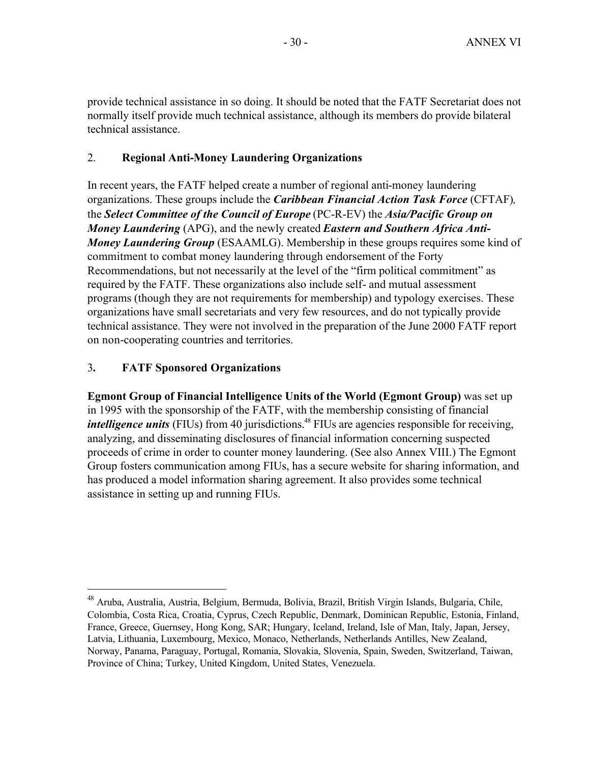provide technical assistance in so doing. It should be noted that the FATF Secretariat does not normally itself provide much technical assistance, although its members do provide bilateral technical assistance.

# 2. **Regional Anti-Money Laundering Organizations**

In recent years, the FATF helped create a number of regional anti-money laundering organizations. These groups include the *Caribbean Financial Action Task Force* (CFTAF)*,*  the *Select Committee of the Council of Europe* (PC-R-EV) the *Asia/Pacific Group on Money Laundering* (APG), and the newly created *Eastern and Southern Africa Anti-Money Laundering Group* (ESAAMLG). Membership in these groups requires some kind of commitment to combat money laundering through endorsement of the Forty Recommendations, but not necessarily at the level of the "firm political commitment" as required by the FATF. These organizations also include self- and mutual assessment programs (though they are not requirements for membership) and typology exercises. These organizations have small secretariats and very few resources, and do not typically provide technical assistance. They were not involved in the preparation of the June 2000 FATF report on non-cooperating countries and territories.

# 3**. FATF Sponsored Organizations**

 $\overline{a}$ 

**Egmont Group of Financial Intelligence Units of the World (Egmont Group)** was set up in 1995 with the sponsorship of the FATF, with the membership consisting of financial *intelligence units* (FIUs) from 40 jurisdictions.<sup>48</sup> FIUs are agencies responsible for receiving, analyzing, and disseminating disclosures of financial information concerning suspected proceeds of crime in order to counter money laundering. (See also Annex VIII.) The Egmont Group fosters communication among FIUs, has a secure website for sharing information, and has produced a model information sharing agreement. It also provides some technical assistance in setting up and running FIUs.

<sup>48</sup> Aruba, Australia, Austria, Belgium, Bermuda, Bolivia, Brazil, British Virgin Islands, Bulgaria, Chile, Colombia, Costa Rica, Croatia, Cyprus, Czech Republic, Denmark, Dominican Republic, Estonia, Finland, France, Greece, Guernsey, Hong Kong, SAR; Hungary, Iceland, Ireland, Isle of Man, Italy, Japan, Jersey, Latvia, Lithuania, Luxembourg, Mexico, Monaco, Netherlands, Netherlands Antilles, New Zealand, Norway, Panama, Paraguay, Portugal, Romania, Slovakia, Slovenia, Spain, Sweden, Switzerland, Taiwan, Province of China; Turkey, United Kingdom, United States, Venezuela.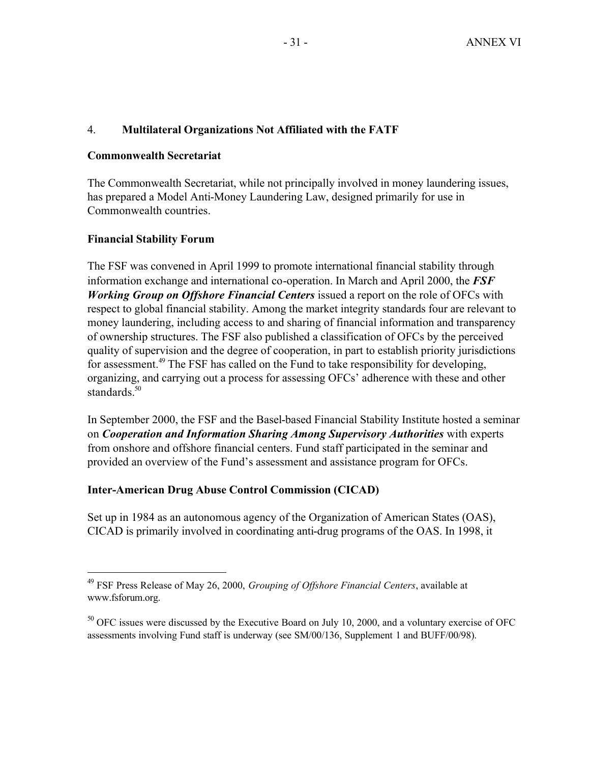# 4. **Multilateral Organizations Not Affiliated with the FATF**

# **Commonwealth Secretariat**

The Commonwealth Secretariat, while not principally involved in money laundering issues, has prepared a Model Anti-Money Laundering Law, designed primarily for use in Commonwealth countries.

# **Financial Stability Forum**

 $\overline{a}$ 

The FSF was convened in April 1999 to promote international financial stability through information exchange and international co-operation. In March and April 2000, the *FSF Working Group on Offshore Financial Centers* issued a report on the role of OFCs with respect to global financial stability. Among the market integrity standards four are relevant to money laundering, including access to and sharing of financial information and transparency of ownership structures. The FSF also published a classification of OFCs by the perceived quality of supervision and the degree of cooperation, in part to establish priority jurisdictions for assessment.<sup>49</sup> The FSF has called on the Fund to take responsibility for developing, organizing, and carrying out a process for assessing OFCs' adherence with these and other standards.<sup>50</sup>

In September 2000, the FSF and the Basel-based Financial Stability Institute hosted a seminar on *Cooperation and Information Sharing Among Supervisory Authorities* with experts from onshore and offshore financial centers. Fund staff participated in the seminar and provided an overview of the Fund's assessment and assistance program for OFCs.

# **Inter-American Drug Abuse Control Commission (CICAD)**

Set up in 1984 as an autonomous agency of the Organization of American States (OAS), CICAD is primarily involved in coordinating anti-drug programs of the OAS. In 1998, it

<sup>49</sup> FSF Press Release of May 26, 2000, *Grouping of Offshore Financial Centers*, available at www.fsforum.org.

 $50$  OFC issues were discussed by the Executive Board on July 10, 2000, and a voluntary exercise of OFC assessments involving Fund staff is underway (see SM/00/136, Supplement 1 and BUFF/00/98).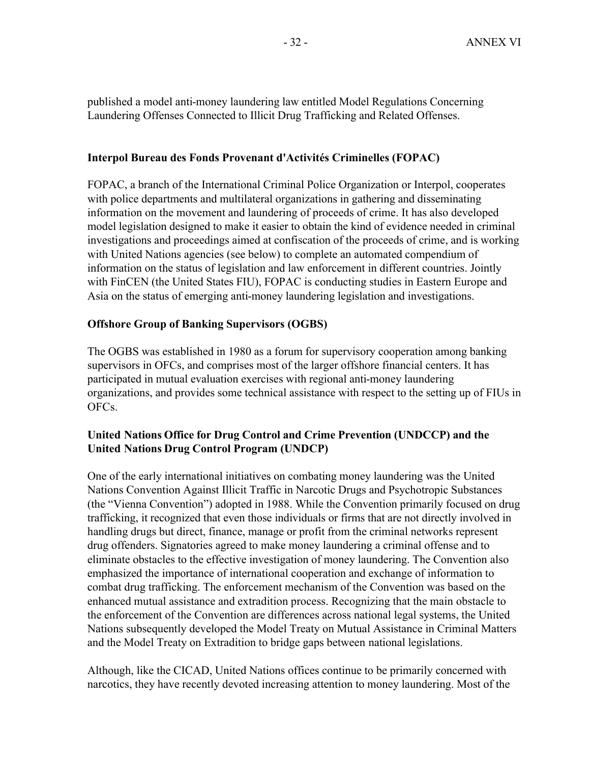published a model anti-money laundering law entitled Model Regulations Concerning Laundering Offenses Connected to Illicit Drug Trafficking and Related Offenses.

# **Interpol Bureau des Fonds Provenant d'Activités Criminelles (FOPAC)**

FOPAC, a branch of the International Criminal Police Organization or Interpol, cooperates with police departments and multilateral organizations in gathering and disseminating information on the movement and laundering of proceeds of crime. It has also developed model legislation designed to make it easier to obtain the kind of evidence needed in criminal investigations and proceedings aimed at confiscation of the proceeds of crime, and is working with United Nations agencies (see below) to complete an automated compendium of information on the status of legislation and law enforcement in different countries. Jointly with FinCEN (the United States FIU), FOPAC is conducting studies in Eastern Europe and Asia on the status of emerging anti-money laundering legislation and investigations.

# **Offshore Group of Banking Supervisors (OGBS)**

The OGBS was established in 1980 as a forum for supervisory cooperation among banking supervisors in OFCs, and comprises most of the larger offshore financial centers. It has participated in mutual evaluation exercises with regional anti-money laundering organizations, and provides some technical assistance with respect to the setting up of FIUs in OFCs.

# **United Nations Office for Drug Control and Crime Prevention (UNDCCP) and the United Nations Drug Control Program (UNDCP)**

One of the early international initiatives on combating money laundering was the United Nations Convention Against Illicit Traffic in Narcotic Drugs and Psychotropic Substances (the "Vienna Convention") adopted in 1988. While the Convention primarily focused on drug trafficking, it recognized that even those individuals or firms that are not directly involved in handling drugs but direct, finance, manage or profit from the criminal networks represent drug offenders. Signatories agreed to make money laundering a criminal offense and to eliminate obstacles to the effective investigation of money laundering. The Convention also emphasized the importance of international cooperation and exchange of information to combat drug trafficking. The enforcement mechanism of the Convention was based on the enhanced mutual assistance and extradition process. Recognizing that the main obstacle to the enforcement of the Convention are differences across national legal systems, the United Nations subsequently developed the Model Treaty on Mutual Assistance in Criminal Matters and the Model Treaty on Extradition to bridge gaps between national legislations.

Although, like the CICAD, United Nations offices continue to be primarily concerned with narcotics, they have recently devoted increasing attention to money laundering. Most of the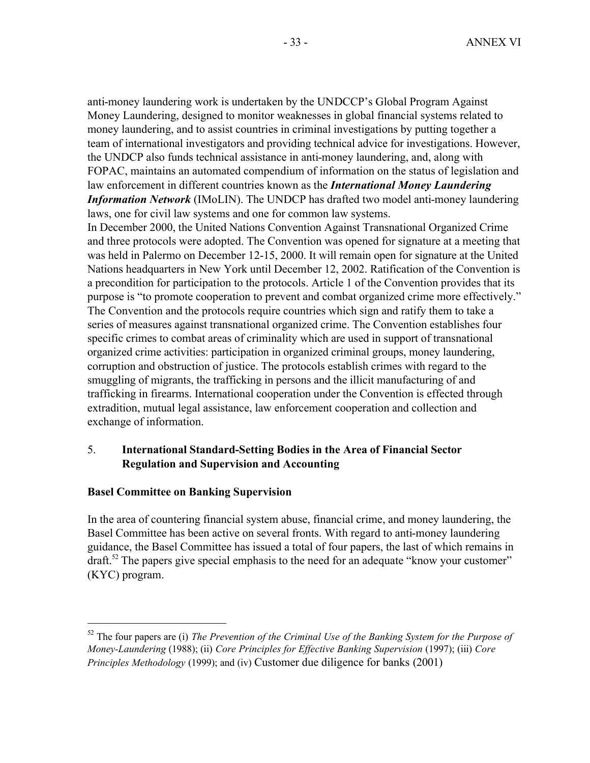anti-money laundering work is undertaken by the UNDCCP's Global Program Against Money Laundering, designed to monitor weaknesses in global financial systems related to money laundering, and to assist countries in criminal investigations by putting together a team of international investigators and providing technical advice for investigations. However, the UNDCP also funds technical assistance in anti-money laundering, and, along with FOPAC, maintains an automated compendium of information on the status of legislation and law enforcement in different countries known as the *International Money Laundering Information Network* (IMoLIN). The UNDCP has drafted two model anti-money laundering laws, one for civil law systems and one for common law systems.

In December 2000, the United Nations Convention Against Transnational Organized Crime and three protocols were adopted. The Convention was opened for signature at a meeting that was held in Palermo on December 12-15, 2000. It will remain open for signature at the United Nations headquarters in New York until December 12, 2002. Ratification of the Convention is a precondition for participation to the protocols. Article 1 of the Convention provides that its purpose is "to promote cooperation to prevent and combat organized crime more effectively." The Convention and the protocols require countries which sign and ratify them to take a series of measures against transnational organized crime. The Convention establishes four specific crimes to combat areas of criminality which are used in support of transnational organized crime activities: participation in organized criminal groups, money laundering, corruption and obstruction of justice. The protocols establish crimes with regard to the smuggling of migrants, the trafficking in persons and the illicit manufacturing of and trafficking in firearms. International cooperation under the Convention is effected through extradition, mutual legal assistance, law enforcement cooperation and collection and exchange of information.

# 5. **International Standard-Setting Bodies in the Area of Financial Sector Regulation and Supervision and Accounting**

# **Basel Committee on Banking Supervision**

 $\overline{a}$ 

In the area of countering financial system abuse, financial crime, and money laundering, the Basel Committee has been active on several fronts. With regard to anti-money laundering guidance, the Basel Committee has issued a total of four papers, the last of which remains in draft.<sup>52</sup> The papers give special emphasis to the need for an adequate "know your customer" (KYC) program.

<sup>52</sup> The four papers are (i) *The Prevention of the Criminal Use of the Banking System for the Purpose of Money-Laundering* (1988); (ii) *Core Principles for Effective Banking Supervision* (1997); (iii) *Core Principles Methodology* (1999); and (iv) Customer due diligence for banks (2001)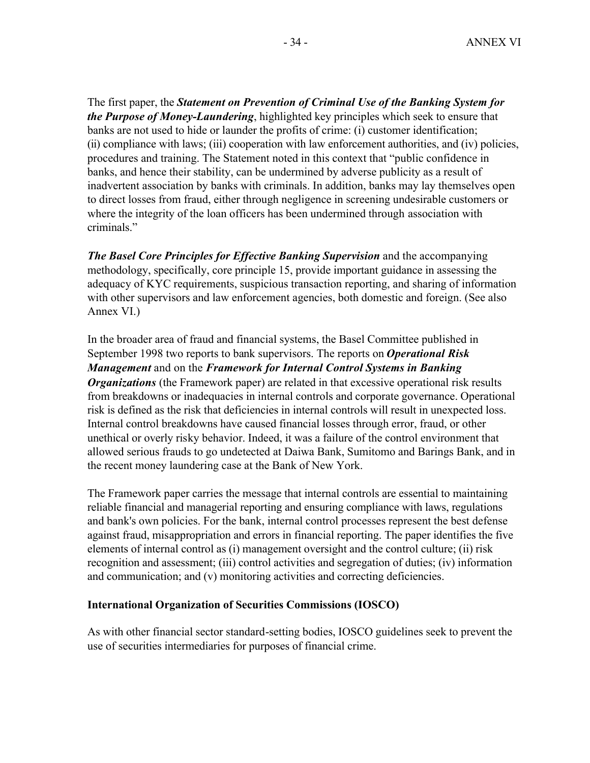The first paper, the *Statement on Prevention of Criminal Use of the Banking System for the Purpose of Money-Laundering*, highlighted key principles which seek to ensure that banks are not used to hide or launder the profits of crime: (i) customer identification; (ii) compliance with laws; (iii) cooperation with law enforcement authorities, and (iv) policies, procedures and training. The Statement noted in this context that "public confidence in banks, and hence their stability, can be undermined by adverse publicity as a result of inadvertent association by banks with criminals. In addition, banks may lay themselves open to direct losses from fraud, either through negligence in screening undesirable customers or where the integrity of the loan officers has been undermined through association with criminals."

*The Basel Core Principles for Effective Banking Supervision and the accompanying* methodology, specifically, core principle 15, provide important guidance in assessing the adequacy of KYC requirements, suspicious transaction reporting, and sharing of information with other supervisors and law enforcement agencies, both domestic and foreign. (See also Annex VI.)

In the broader area of fraud and financial systems, the Basel Committee published in September 1998 two reports to bank supervisors. The reports on *Operational Risk Management* and on the *Framework for Internal Control Systems in Banking Organizations* (the Framework paper) are related in that excessive operational risk results from breakdowns or inadequacies in internal controls and corporate governance. Operational risk is defined as the risk that deficiencies in internal controls will result in unexpected loss. Internal control breakdowns have caused financial losses through error, fraud, or other unethical or overly risky behavior. Indeed, it was a failure of the control environment that allowed serious frauds to go undetected at Daiwa Bank, Sumitomo and Barings Bank, and in the recent money laundering case at the Bank of New York.

The Framework paper carries the message that internal controls are essential to maintaining reliable financial and managerial reporting and ensuring compliance with laws, regulations and bank's own policies. For the bank, internal control processes represent the best defense against fraud, misappropriation and errors in financial reporting. The paper identifies the five elements of internal control as (i) management oversight and the control culture; (ii) risk recognition and assessment; (iii) control activities and segregation of duties; (iv) information and communication; and (v) monitoring activities and correcting deficiencies.

## **International Organization of Securities Commissions (IOSCO)**

As with other financial sector standard-setting bodies, IOSCO guidelines seek to prevent the use of securities intermediaries for purposes of financial crime.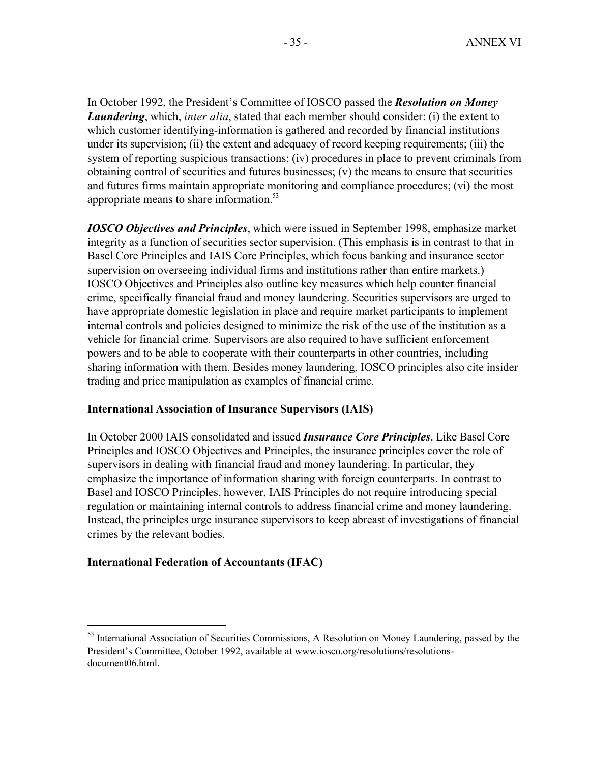In October 1992, the President's Committee of IOSCO passed the *Resolution on Money Laundering*, which, *inter alia*, stated that each member should consider: (i) the extent to which customer identifying-information is gathered and recorded by financial institutions under its supervision; (ii) the extent and adequacy of record keeping requirements; (iii) the system of reporting suspicious transactions; (iv) procedures in place to prevent criminals from obtaining control of securities and futures businesses; (v) the means to ensure that securities and futures firms maintain appropriate monitoring and compliance procedures; (vi) the most appropriate means to share information.<sup>53</sup>

*IOSCO Objectives and Principles*, which were issued in September 1998, emphasize market integrity as a function of securities sector supervision. (This emphasis is in contrast to that in Basel Core Principles and IAIS Core Principles, which focus banking and insurance sector supervision on overseeing individual firms and institutions rather than entire markets.) IOSCO Objectives and Principles also outline key measures which help counter financial crime, specifically financial fraud and money laundering. Securities supervisors are urged to have appropriate domestic legislation in place and require market participants to implement internal controls and policies designed to minimize the risk of the use of the institution as a vehicle for financial crime. Supervisors are also required to have sufficient enforcement powers and to be able to cooperate with their counterparts in other countries, including sharing information with them. Besides money laundering, IOSCO principles also cite insider trading and price manipulation as examples of financial crime.

## **International Association of Insurance Supervisors (IAIS)**

In October 2000 IAIS consolidated and issued *Insurance Core Principles*. Like Basel Core Principles and IOSCO Objectives and Principles, the insurance principles cover the role of supervisors in dealing with financial fraud and money laundering. In particular, they emphasize the importance of information sharing with foreign counterparts. In contrast to Basel and IOSCO Principles, however, IAIS Principles do not require introducing special regulation or maintaining internal controls to address financial crime and money laundering. Instead, the principles urge insurance supervisors to keep abreast of investigations of financial crimes by the relevant bodies.

# **International Federation of Accountants (IFAC)**

<sup>&</sup>lt;sup>53</sup> International Association of Securities Commissions, A Resolution on Money Laundering, passed by the President's Committee, October 1992, available at www.iosco.org/resolutions/resolutionsdocument06.html.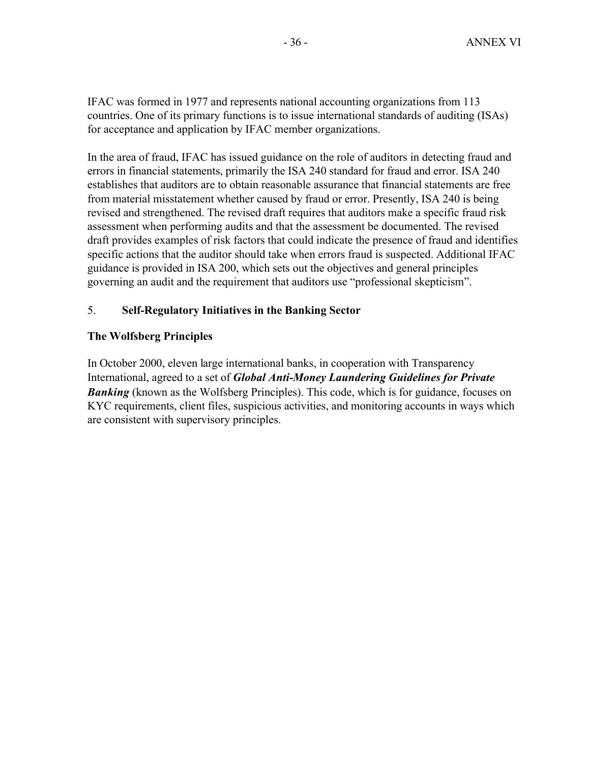IFAC was formed in 1977 and represents national accounting organizations from 113 countries. One of its primary functions is to issue international standards of auditing (ISAs) for acceptance and application by IFAC member organizations.

In the area of fraud, IFAC has issued guidance on the role of auditors in detecting fraud and errors in financial statements, primarily the ISA 240 standard for fraud and error. ISA 240 establishes that auditors are to obtain reasonable assurance that financial statements are free from material misstatement whether caused by fraud or error. Presently, ISA 240 is being revised and strengthened. The revised draft requires that auditors make a specific fraud risk assessment when performing audits and that the assessment be documented. The revised draft provides examples of risk factors that could indicate the presence of fraud and identifies specific actions that the auditor should take when errors fraud is suspected. Additional IFAC guidance is provided in ISA 200, which sets out the objectives and general principles governing an audit and the requirement that auditors use "professional skepticism".

# 5. **Self-Regulatory Initiatives in the Banking Sector**

# **The Wolfsberg Principles**

In October 2000, eleven large international banks, in cooperation with Transparency International, agreed to a set of *Global Anti-Money Laundering Guidelines for Private*  **Banking** (known as the Wolfsberg Principles). This code, which is for guidance, focuses on KYC requirements, client files, suspicious activities, and monitoring accounts in ways which are consistent with supervisory principles.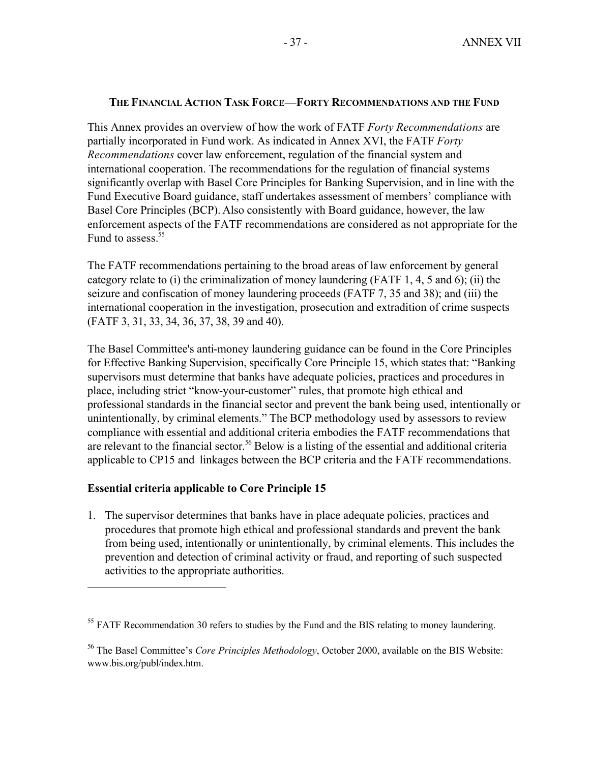# **THE FINANCIAL ACTION TASK FORCE—FORTY RECOMMENDATIONS AND THE FUND**

This Annex provides an overview of how the work of FATF *Forty Recommendations* are partially incorporated in Fund work. As indicated in Annex XVI, the FATF *Forty Recommendations* cover law enforcement, regulation of the financial system and international cooperation. The recommendations for the regulation of financial systems significantly overlap with Basel Core Principles for Banking Supervision, and in line with the Fund Executive Board guidance, staff undertakes assessment of members' compliance with Basel Core Principles (BCP). Also consistently with Board guidance, however, the law enforcement aspects of the FATF recommendations are considered as not appropriate for the Fund to assess.<sup>55</sup>

The FATF recommendations pertaining to the broad areas of law enforcement by general category relate to (i) the criminalization of money laundering (FATF 1, 4, 5 and 6); (ii) the seizure and confiscation of money laundering proceeds (FATF 7, 35 and 38); and (iii) the international cooperation in the investigation, prosecution and extradition of crime suspects (FATF 3, 31, 33, 34, 36, 37, 38, 39 and 40).

The Basel Committee's anti-money laundering guidance can be found in the Core Principles for Effective Banking Supervision, specifically Core Principle 15, which states that: "Banking supervisors must determine that banks have adequate policies, practices and procedures in place, including strict "know-your-customer" rules, that promote high ethical and professional standards in the financial sector and prevent the bank being used, intentionally or unintentionally, by criminal elements." The BCP methodology used by assessors to review compliance with essential and additional criteria embodies the FATF recommendations that are relevant to the financial sector.<sup>56</sup> Below is a listing of the essential and additional criteria applicable to CP15 and linkages between the BCP criteria and the FATF recommendations.

# **Essential criteria applicable to Core Principle 15**

 $\overline{a}$ 

1. The supervisor determines that banks have in place adequate policies, practices and procedures that promote high ethical and professional standards and prevent the bank from being used, intentionally or unintentionally, by criminal elements. This includes the prevention and detection of criminal activity or fraud, and reporting of such suspected activities to the appropriate authorities.

 $<sup>55</sup>$  FATF Recommendation 30 refers to studies by the Fund and the BIS relating to money laundering.</sup>

<sup>56</sup> The Basel Committee's *Core Principles Methodology*, October 2000, available on the BIS Website: www.bis.org/publ/index.htm.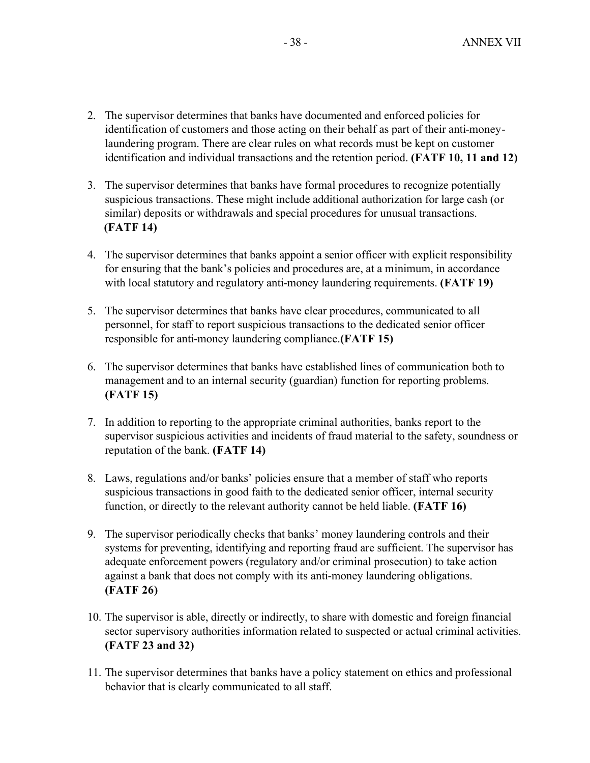- 2. The supervisor determines that banks have documented and enforced policies for identification of customers and those acting on their behalf as part of their anti-moneylaundering program. There are clear rules on what records must be kept on customer identification and individual transactions and the retention period. **(FATF 10, 11 and 12)**
- 3. The supervisor determines that banks have formal procedures to recognize potentially suspicious transactions. These might include additional authorization for large cash (or similar) deposits or withdrawals and special procedures for unusual transactions. **(FATF 14)**
- 4. The supervisor determines that banks appoint a senior officer with explicit responsibility for ensuring that the bank's policies and procedures are, at a minimum, in accordance with local statutory and regulatory anti-money laundering requirements. **(FATF 19)**
- 5. The supervisor determines that banks have clear procedures, communicated to all personnel, for staff to report suspicious transactions to the dedicated senior officer responsible for anti-money laundering compliance.**(FATF 15)**
- 6. The supervisor determines that banks have established lines of communication both to management and to an internal security (guardian) function for reporting problems. **(FATF 15)**
- 7. In addition to reporting to the appropriate criminal authorities, banks report to the supervisor suspicious activities and incidents of fraud material to the safety, soundness or reputation of the bank. **(FATF 14)**
- 8. Laws, regulations and/or banks' policies ensure that a member of staff who reports suspicious transactions in good faith to the dedicated senior officer, internal security function, or directly to the relevant authority cannot be held liable. **(FATF 16)**
- 9. The supervisor periodically checks that banks' money laundering controls and their systems for preventing, identifying and reporting fraud are sufficient. The supervisor has adequate enforcement powers (regulatory and/or criminal prosecution) to take action against a bank that does not comply with its anti-money laundering obligations. **(FATF 26)**
- 10. The supervisor is able, directly or indirectly, to share with domestic and foreign financial sector supervisory authorities information related to suspected or actual criminal activities. **(FATF 23 and 32)**
- 11. The supervisor determines that banks have a policy statement on ethics and professional behavior that is clearly communicated to all staff.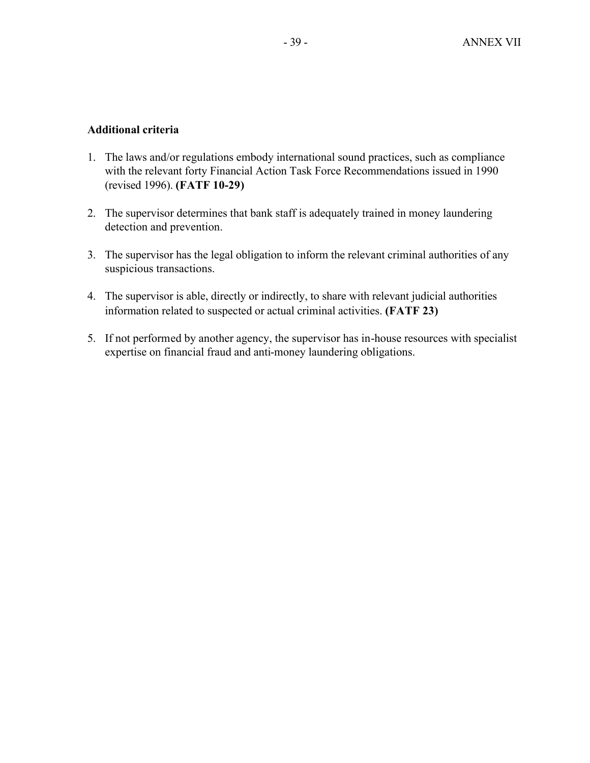# **Additional criteria**

- 1. The laws and/or regulations embody international sound practices, such as compliance with the relevant forty Financial Action Task Force Recommendations issued in 1990 (revised 1996). **(FATF 10-29)**
- 2. The supervisor determines that bank staff is adequately trained in money laundering detection and prevention.
- 3. The supervisor has the legal obligation to inform the relevant criminal authorities of any suspicious transactions.
- 4. The supervisor is able, directly or indirectly, to share with relevant judicial authorities information related to suspected or actual criminal activities. **(FATF 23)**
- 5. If not performed by another agency, the supervisor has in-house resources with specialist expertise on financial fraud and anti-money laundering obligations.